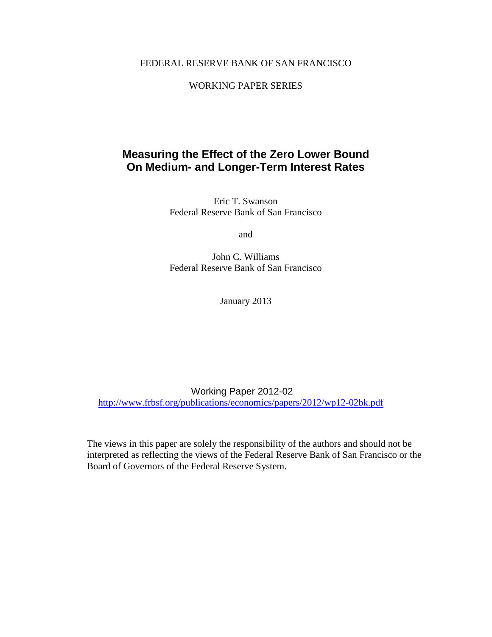# FEDERAL RESERVE BANK OF SAN FRANCISCO

## WORKING PAPER SERIES

# **Measuring the Effect of the Zero Lower Bound On Medium- and Longer-Term Interest Rates**

Eric T. Swanson Federal Reserve Bank of San Francisco

and

John C. Williams Federal Reserve Bank of San Francisco

January 2013

Working Paper 2012-02 <http://www.frbsf.org/publications/economics/papers/2012/wp12-02bk.pdf>

The views in this paper are solely the responsibility of the authors and should not be interpreted as reflecting the views of the Federal Reserve Bank of San Francisco or the Board of Governors of the Federal Reserve System.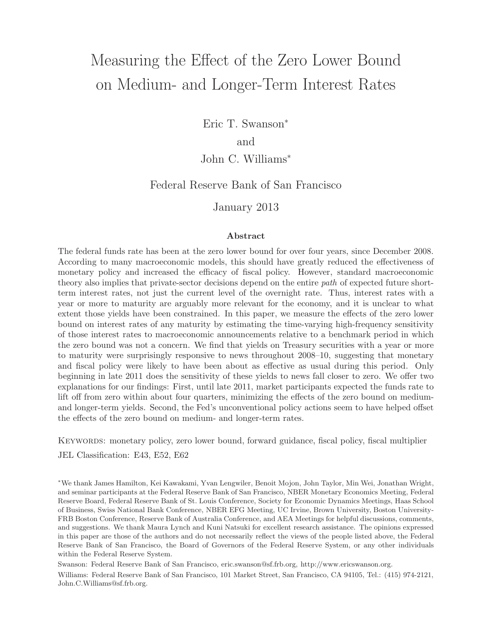# Measuring the Effect of the Zero Lower Bound on Medium- and Longer-Term Interest Rates

Eric T. Swanson<sup>∗</sup>

and

# John C. Williams<sup>∗</sup>

# Federal Reserve Bank of San Francisco

## January 2013

### Abstract

The federal funds rate has been at the zero lower bound for over four years, since December 2008. According to many macroeconomic models, this should have greatly reduced the effectiveness of monetary policy and increased the efficacy of fiscal policy. However, standard macroeconomic theory also implies that private-sector decisions depend on the entire *path* of expected future shortterm interest rates, not just the current level of the overnight rate. Thus, interest rates with a year or more to maturity are arguably more relevant for the economy, and it is unclear to what extent those yields have been constrained. In this paper, we measure the effects of the zero lower bound on interest rates of any maturity by estimating the time-varying high-frequency sensitivity of those interest rates to macroeconomic announcements relative to a benchmark period in which the zero bound was not a concern. We find that yields on Treasury securities with a year or more to maturity were surprisingly responsive to news throughout 2008–10, suggesting that monetary and fiscal policy were likely to have been about as effective as usual during this period. Only beginning in late 2011 does the sensitivity of these yields to news fall closer to zero. We offer two explanations for our findings: First, until late 2011, market participants expected the funds rate to lift off from zero within about four quarters, minimizing the effects of the zero bound on mediumand longer-term yields. Second, the Fed's unconventional policy actions seem to have helped offset the effects of the zero bound on medium- and longer-term rates.

Keywords: monetary policy, zero lower bound, forward guidance, fiscal policy, fiscal multiplier

JEL Classification: E43, E52, E62

<sup>∗</sup>We thank James Hamilton, Kei Kawakami, Yvan Lengwiler, Benoit Mojon, John Taylor, Min Wei, Jonathan Wright, and seminar participants at the Federal Reserve Bank of San Francisco, NBER Monetary Economics Meeting, Federal Reserve Board, Federal Reserve Bank of St. Louis Conference, Society for Economic Dynamics Meetings, Haas School of Business, Swiss National Bank Conference, NBER EFG Meeting, UC Irvine, Brown University, Boston University-FRB Boston Conference, Reserve Bank of Australia Conference, and AEA Meetings for helpful discussions, comments, and suggestions. We thank Maura Lynch and Kuni Natsuki for excellent research assistance. The opinions expressed in this paper are those of the authors and do not necessarily reflect the views of the people listed above, the Federal Reserve Bank of San Francisco, the Board of Governors of the Federal Reserve System, or any other individuals within the Federal Reserve System.

Swanson: Federal Reserve Bank of San Francisco, eric.swanson@sf.frb.org, http://www.ericswanson.org. Williams: Federal Reserve Bank of San Francisco, 101 Market Street, San Francisco, CA 94105, Tel.: (415) 974-2121, John.C.Williams@sf.frb.org.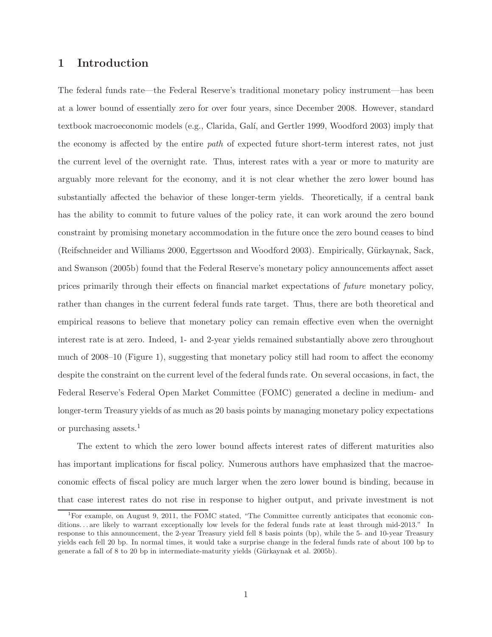# **1 Introduction**

The federal funds rate—the Federal Reserve's traditional monetary policy instrument—has been at a lower bound of essentially zero for over four years, since December 2008. However, standard textbook macroeconomic models (e.g., Clarida, Galí, and Gertler 1999, Woodford 2003) imply that the economy is affected by the entire *path* of expected future short-term interest rates, not just the current level of the overnight rate. Thus, interest rates with a year or more to maturity are arguably more relevant for the economy, and it is not clear whether the zero lower bound has substantially affected the behavior of these longer-term yields. Theoretically, if a central bank has the ability to commit to future values of the policy rate, it can work around the zero bound constraint by promising monetary accommodation in the future once the zero bound ceases to bind (Reifschneider and Williams 2000, Eggertsson and Woodford 2003). Empirically, Gürkaynak, Sack, and Swanson (2005b) found that the Federal Reserve's monetary policy announcements affect asset prices primarily through their effects on financial market expectations of *future* monetary policy, rather than changes in the current federal funds rate target. Thus, there are both theoretical and empirical reasons to believe that monetary policy can remain effective even when the overnight interest rate is at zero. Indeed, 1- and 2-year yields remained substantially above zero throughout much of 2008–10 (Figure 1), suggesting that monetary policy still had room to affect the economy despite the constraint on the current level of the federal funds rate. On several occasions, in fact, the Federal Reserve's Federal Open Market Committee (FOMC) generated a decline in medium- and longer-term Treasury yields of as much as 20 basis points by managing monetary policy expectations or purchasing assets.<sup>1</sup>

The extent to which the zero lower bound affects interest rates of different maturities also has important implications for fiscal policy. Numerous authors have emphasized that the macroeconomic effects of fiscal policy are much larger when the zero lower bound is binding, because in that case interest rates do not rise in response to higher output, and private investment is not

<sup>&</sup>lt;sup>1</sup>For example, on August 9, 2011, the FOMC stated, "The Committee currently anticipates that economic conditions. . . are likely to warrant exceptionally low levels for the federal funds rate at least through mid-2013." In response to this announcement, the 2-year Treasury yield fell 8 basis points (bp), while the 5- and 10-year Treasury yields each fell 20 bp. In normal times, it would take a surprise change in the federal funds rate of about 100 bp to generate a fall of 8 to 20 bp in intermediate-maturity yields (Gürkaynak et al. 2005b).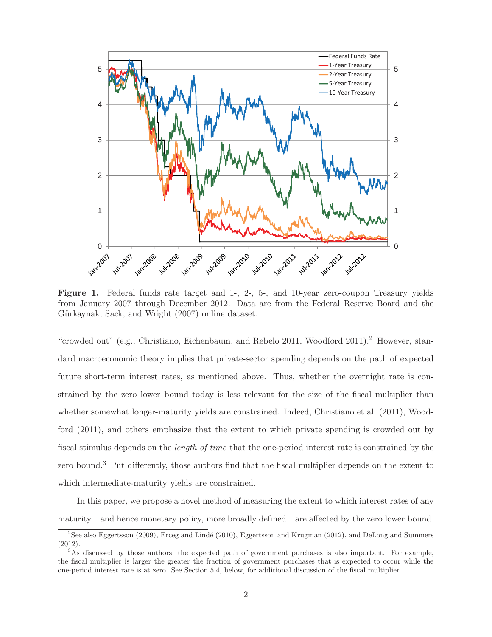

Figure 1. Federal funds rate target and 1-, 2-, 5-, and 10-year zero-coupon Treasury yields from January 2007 through December 2012. Data are from the Federal Reserve Board and the Gürkaynak, Sack, and Wright (2007) online dataset.

"crowded out" (e.g., Christiano, Eichenbaum, and Rebelo 2011, Woodford 2011).<sup>2</sup> However, standard macroeconomic theory implies that private-sector spending depends on the path of expected future short-term interest rates, as mentioned above. Thus, whether the overnight rate is constrained by the zero lower bound today is less relevant for the size of the fiscal multiplier than whether somewhat longer-maturity yields are constrained. Indeed, Christiano et al. (2011), Woodford (2011), and others emphasize that the extent to which private spending is crowded out by fiscal stimulus depends on the *length of time* that the one-period interest rate is constrained by the zero bound.<sup>3</sup> Put differently, those authors find that the fiscal multiplier depends on the extent to which intermediate-maturity yields are constrained.

In this paper, we propose a novel method of measuring the extent to which interest rates of any maturity—and hence monetary policy, more broadly defined—are affected by the zero lower bound.

<sup>&</sup>lt;sup>2</sup>See also Eggertsson (2009), Erceg and Lindé (2010), Eggertsson and Krugman (2012), and DeLong and Summers (2012).

<sup>&</sup>lt;sup>3</sup>As discussed by those authors, the expected path of government purchases is also important. For example, the fiscal multiplier is larger the greater the fraction of government purchases that is expected to occur while the one-period interest rate is at zero. See Section 5.4, below, for additional discussion of the fiscal multiplier.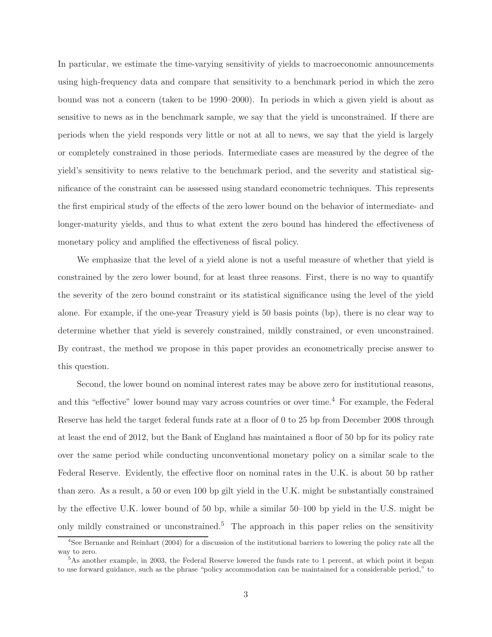In particular, we estimate the time-varying sensitivity of yields to macroeconomic announcements using high-frequency data and compare that sensitivity to a benchmark period in which the zero bound was not a concern (taken to be 1990–2000). In periods in which a given yield is about as sensitive to news as in the benchmark sample, we say that the yield is unconstrained. If there are periods when the yield responds very little or not at all to news, we say that the yield is largely or completely constrained in those periods. Intermediate cases are measured by the degree of the yield's sensitivity to news relative to the benchmark period, and the severity and statistical significance of the constraint can be assessed using standard econometric techniques. This represents the first empirical study of the effects of the zero lower bound on the behavior of intermediate- and longer-maturity yields, and thus to what extent the zero bound has hindered the effectiveness of monetary policy and amplified the effectiveness of fiscal policy.

We emphasize that the level of a yield alone is not a useful measure of whether that yield is constrained by the zero lower bound, for at least three reasons. First, there is no way to quantify the severity of the zero bound constraint or its statistical significance using the level of the yield alone. For example, if the one-year Treasury yield is 50 basis points (bp), there is no clear way to determine whether that yield is severely constrained, mildly constrained, or even unconstrained. By contrast, the method we propose in this paper provides an econometrically precise answer to this question.

Second, the lower bound on nominal interest rates may be above zero for institutional reasons, and this "effective" lower bound may vary across countries or over time.<sup>4</sup> For example, the Federal Reserve has held the target federal funds rate at a floor of 0 to 25 bp from December 2008 through at least the end of 2012, but the Bank of England has maintained a floor of 50 bp for its policy rate over the same period while conducting unconventional monetary policy on a similar scale to the Federal Reserve. Evidently, the effective floor on nominal rates in the U.K. is about 50 bp rather than zero. As a result, a 50 or even 100 bp gilt yield in the U.K. might be substantially constrained by the effective U.K. lower bound of 50 bp, while a similar 50–100 bp yield in the U.S. might be only mildly constrained or unconstrained.<sup>5</sup> The approach in this paper relies on the sensitivity

 $4$ See Bernanke and Reinhart (2004) for a discussion of the institutional barriers to lowering the policy rate all the way to zero.

<sup>5</sup>As another example, in 2003, the Federal Reserve lowered the funds rate to 1 percent, at which point it began to use forward guidance, such as the phrase "policy accommodation can be maintained for a considerable period," to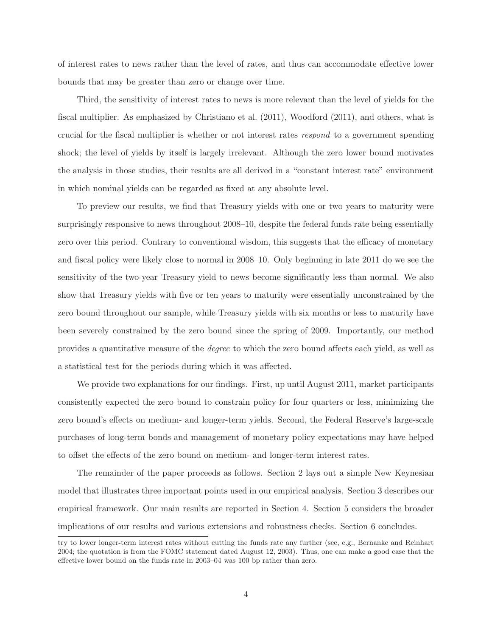of interest rates to news rather than the level of rates, and thus can accommodate effective lower bounds that may be greater than zero or change over time.

Third, the sensitivity of interest rates to news is more relevant than the level of yields for the fiscal multiplier. As emphasized by Christiano et al. (2011), Woodford (2011), and others, what is crucial for the fiscal multiplier is whether or not interest rates *respond* to a government spending shock; the level of yields by itself is largely irrelevant. Although the zero lower bound motivates the analysis in those studies, their results are all derived in a "constant interest rate" environment in which nominal yields can be regarded as fixed at any absolute level.

To preview our results, we find that Treasury yields with one or two years to maturity were surprisingly responsive to news throughout 2008–10, despite the federal funds rate being essentially zero over this period. Contrary to conventional wisdom, this suggests that the efficacy of monetary and fiscal policy were likely close to normal in 2008–10. Only beginning in late 2011 do we see the sensitivity of the two-year Treasury yield to news become significantly less than normal. We also show that Treasury yields with five or ten years to maturity were essentially unconstrained by the zero bound throughout our sample, while Treasury yields with six months or less to maturity have been severely constrained by the zero bound since the spring of 2009. Importantly, our method provides a quantitative measure of the *degree* to which the zero bound affects each yield, as well as a statistical test for the periods during which it was affected.

We provide two explanations for our findings. First, up until August 2011, market participants consistently expected the zero bound to constrain policy for four quarters or less, minimizing the zero bound's effects on medium- and longer-term yields. Second, the Federal Reserve's large-scale purchases of long-term bonds and management of monetary policy expectations may have helped to offset the effects of the zero bound on medium- and longer-term interest rates.

The remainder of the paper proceeds as follows. Section 2 lays out a simple New Keynesian model that illustrates three important points used in our empirical analysis. Section 3 describes our empirical framework. Our main results are reported in Section 4. Section 5 considers the broader implications of our results and various extensions and robustness checks. Section 6 concludes.

try to lower longer-term interest rates without cutting the funds rate any further (see, e.g., Bernanke and Reinhart 2004; the quotation is from the FOMC statement dated August 12, 2003). Thus, one can make a good case that the effective lower bound on the funds rate in 2003–04 was 100 bp rather than zero.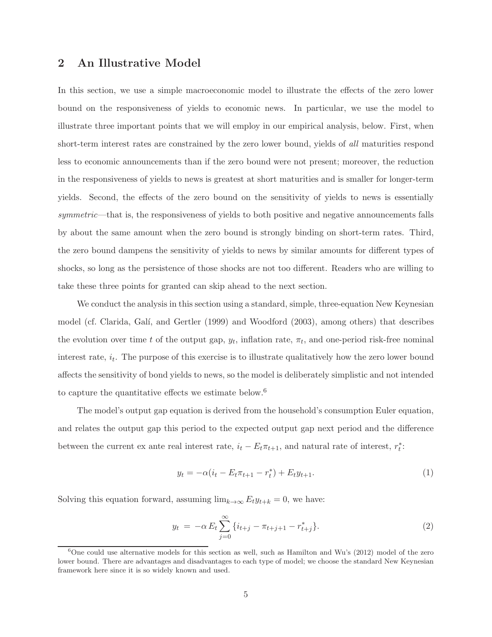## **2 An Illustrative Model**

In this section, we use a simple macroeconomic model to illustrate the effects of the zero lower bound on the responsiveness of yields to economic news. In particular, we use the model to illustrate three important points that we will employ in our empirical analysis, below. First, when short-term interest rates are constrained by the zero lower bound, yields of *all* maturities respond less to economic announcements than if the zero bound were not present; moreover, the reduction in the responsiveness of yields to news is greatest at short maturities and is smaller for longer-term yields. Second, the effects of the zero bound on the sensitivity of yields to news is essentially *symmetric*—that is, the responsiveness of yields to both positive and negative announcements falls by about the same amount when the zero bound is strongly binding on short-term rates. Third, the zero bound dampens the sensitivity of yields to news by similar amounts for different types of shocks, so long as the persistence of those shocks are not too different. Readers who are willing to take these three points for granted can skip ahead to the next section.

We conduct the analysis in this section using a standard, simple, three-equation New Keynesian model (cf. Clarida, Galí, and Gertler (1999) and Woodford (2003), among others) that describes the evolution over time t of the output gap,  $y_t$ , inflation rate,  $\pi_t$ , and one-period risk-free nominal interest rate,  $i_t$ . The purpose of this exercise is to illustrate qualitatively how the zero lower bound affects the sensitivity of bond yields to news, so the model is deliberately simplistic and not intended to capture the quantitative effects we estimate below.<sup>6</sup>

The model's output gap equation is derived from the household's consumption Euler equation, and relates the output gap this period to the expected output gap next period and the difference between the current ex ante real interest rate,  $i_t - E_t \pi_{t+1}$ , and natural rate of interest,  $r_t^*$ :

$$
y_t = -\alpha (i_t - E_t \pi_{t+1} - r_t^*) + E_t y_{t+1}.
$$
\n(1)

Solving this equation forward, assuming  $\lim_{k\to\infty} E_t y_{t+k} = 0$ , we have:

$$
y_t = -\alpha E_t \sum_{j=0}^{\infty} \{i_{t+j} - \pi_{t+j+1} - r_{t+j}^*\}.
$$
 (2)

 $6$ One could use alternative models for this section as well, such as Hamilton and Wu's (2012) model of the zero lower bound. There are advantages and disadvantages to each type of model; we choose the standard New Keynesian framework here since it is so widely known and used.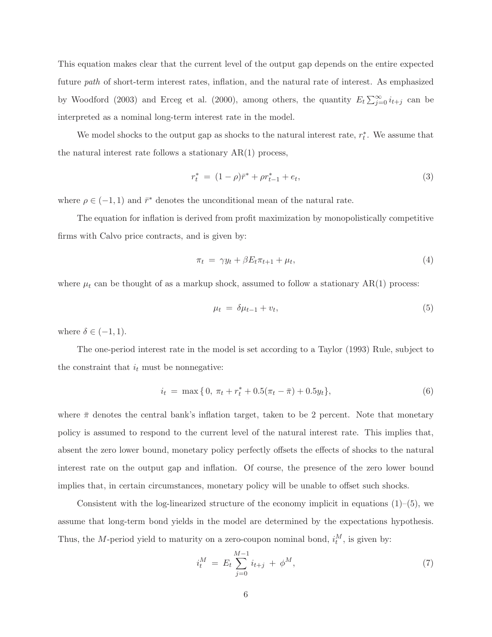This equation makes clear that the current level of the output gap depends on the entire expected future *path* of short-term interest rates, inflation, and the natural rate of interest. As emphasized by Woodford (2003) and Erceg et al. (2000), among others, the quantity  $E_t \sum_{j=0}^{\infty} i_{t+j}$  can be interpreted as a nominal long-term interest rate in the model.

We model shocks to the output gap as shocks to the natural interest rate,  $r_t^*$ . We assume that the natural interest rate follows a stationary AR(1) process,

$$
r_t^* = (1 - \rho)\bar{r}^* + \rho r_{t-1}^* + e_t,\tag{3}
$$

where  $\rho \in (-1,1)$  and  $\bar{r}^*$  denotes the unconditional mean of the natural rate.

The equation for inflation is derived from profit maximization by monopolistically competitive firms with Calvo price contracts, and is given by:

$$
\pi_t = \gamma y_t + \beta E_t \pi_{t+1} + \mu_t,\tag{4}
$$

where  $\mu_t$  can be thought of as a markup shock, assumed to follow a stationary AR(1) process:

$$
\mu_t = \delta \mu_{t-1} + v_t,\tag{5}
$$

where  $\delta \in (-1,1)$ .

The one-period interest rate in the model is set according to a Taylor (1993) Rule, subject to the constraint that  $i_t$  must be nonnegative:

$$
i_t = \max\{0, \pi_t + r_t^* + 0.5(\pi_t - \bar{\pi}) + 0.5y_t\},\tag{6}
$$

where  $\bar{\pi}$  denotes the central bank's inflation target, taken to be 2 percent. Note that monetary policy is assumed to respond to the current level of the natural interest rate. This implies that, absent the zero lower bound, monetary policy perfectly offsets the effects of shocks to the natural interest rate on the output gap and inflation. Of course, the presence of the zero lower bound implies that, in certain circumstances, monetary policy will be unable to offset such shocks.

Consistent with the log-linearized structure of the economy implicit in equations  $(1)$ – $(5)$ , we assume that long-term bond yields in the model are determined by the expectations hypothesis. Thus, the M-period yield to maturity on a zero-coupon nominal bond,  $i_t^M$ , is given by:

$$
i_t^M = E_t \sum_{j=0}^{M-1} i_{t+j} + \phi^M,
$$
\n(7)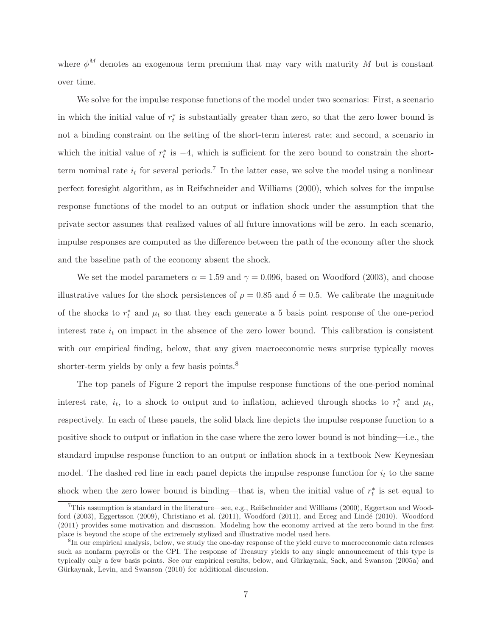where  $\phi^M$  denotes an exogenous term premium that may vary with maturity M but is constant over time.

We solve for the impulse response functions of the model under two scenarios: First, a scenario in which the initial value of  $r_t^*$  is substantially greater than zero, so that the zero lower bound is not a binding constraint on the setting of the short-term interest rate; and second, a scenario in which the initial value of  $r_t^*$  is  $-4$ , which is sufficient for the zero bound to constrain the shortterm nominal rate  $i_t$  for several periods.<sup>7</sup> In the latter case, we solve the model using a nonlinear perfect foresight algorithm, as in Reifschneider and Williams (2000), which solves for the impulse response functions of the model to an output or inflation shock under the assumption that the private sector assumes that realized values of all future innovations will be zero. In each scenario, impulse responses are computed as the difference between the path of the economy after the shock and the baseline path of the economy absent the shock.

We set the model parameters  $\alpha = 1.59$  and  $\gamma = 0.096$ , based on Woodford (2003), and choose illustrative values for the shock persistences of  $\rho = 0.85$  and  $\delta = 0.5$ . We calibrate the magnitude of the shocks to  $r_t^*$  and  $\mu_t$  so that they each generate a 5 basis point response of the one-period interest rate  $i_t$  on impact in the absence of the zero lower bound. This calibration is consistent with our empirical finding, below, that any given macroeconomic news surprise typically moves shorter-term yields by only a few basis points.<sup>8</sup>

The top panels of Figure 2 report the impulse response functions of the one-period nominal interest rate,  $i_t$ , to a shock to output and to inflation, achieved through shocks to  $r_t^*$  and  $\mu_t$ , respectively. In each of these panels, the solid black line depicts the impulse response function to a positive shock to output or inflation in the case where the zero lower bound is not binding—i.e., the standard impulse response function to an output or inflation shock in a textbook New Keynesian model. The dashed red line in each panel depicts the impulse response function for  $i_t$  to the same shock when the zero lower bound is binding—that is, when the initial value of  $r_t^*$  is set equal to

 $^{7}$ This assumption is standard in the literature—see, e.g., Reifschneider and Williams (2000), Eggertson and Woodford (2003), Eggertsson (2009), Christiano et al. (2011), Woodford (2011), and Erceg and Lindé (2010). Woodford (2011) provides some motivation and discussion. Modeling how the economy arrived at the zero bound in the first place is beyond the scope of the extremely stylized and illustrative model used here.

<sup>&</sup>lt;sup>8</sup>In our empirical analysis, below, we study the one-day response of the yield curve to macroeconomic data releases such as nonfarm payrolls or the CPI. The response of Treasury yields to any single announcement of this type is typically only a few basis points. See our empirical results, below, and G¨urkaynak, Sack, and Swanson (2005a) and Gürkaynak, Levin, and Swanson (2010) for additional discussion.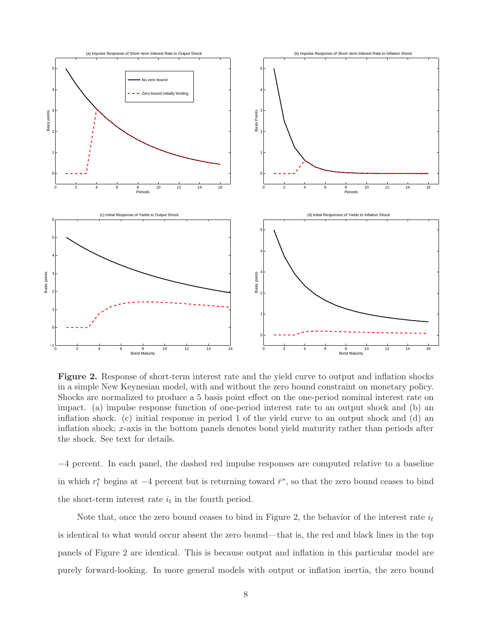

**Figure 2.** Response of short-term interest rate and the yield curve to output and inflation shocks in a simple New Keynesian model, with and without the zero bound constraint on monetary policy. Shocks are normalized to produce a 5 basis point effect on the one-period nominal interest rate on impact. (a) impulse response function of one-period interest rate to an output shock and (b) an inflation shock. (c) initial response in period 1 of the yield curve to an output shock and (d) an inflation shock; x-axis in the bottom panels denotes bond yield maturity rather than periods after the shock. See text for details.

−4 percent. In each panel, the dashed red impulse responses are computed relative to a baseline in which  $r_t^*$  begins at  $-4$  percent but is returning toward  $\bar{r}^*$ , so that the zero bound ceases to bind the short-term interest rate  $i_t$  in the fourth period.

Note that, once the zero bound ceases to bind in Figure 2, the behavior of the interest rate  $i_t$ is identical to what would occur absent the zero bound—that is, the red and black lines in the top panels of Figure 2 are identical. This is because output and inflation in this particular model are purely forward-looking. In more general models with output or inflation inertia, the zero bound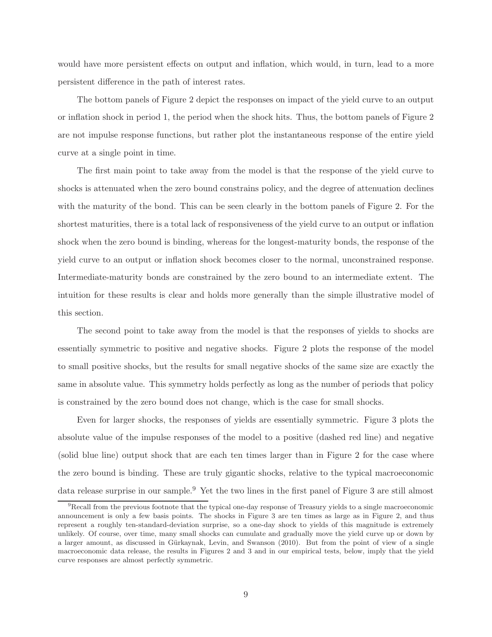would have more persistent effects on output and inflation, which would, in turn, lead to a more persistent difference in the path of interest rates.

The bottom panels of Figure 2 depict the responses on impact of the yield curve to an output or inflation shock in period 1, the period when the shock hits. Thus, the bottom panels of Figure 2 are not impulse response functions, but rather plot the instantaneous response of the entire yield curve at a single point in time.

The first main point to take away from the model is that the response of the yield curve to shocks is attenuated when the zero bound constrains policy, and the degree of attenuation declines with the maturity of the bond. This can be seen clearly in the bottom panels of Figure 2. For the shortest maturities, there is a total lack of responsiveness of the yield curve to an output or inflation shock when the zero bound is binding, whereas for the longest-maturity bonds, the response of the yield curve to an output or inflation shock becomes closer to the normal, unconstrained response. Intermediate-maturity bonds are constrained by the zero bound to an intermediate extent. The intuition for these results is clear and holds more generally than the simple illustrative model of this section.

The second point to take away from the model is that the responses of yields to shocks are essentially symmetric to positive and negative shocks. Figure 2 plots the response of the model to small positive shocks, but the results for small negative shocks of the same size are exactly the same in absolute value. This symmetry holds perfectly as long as the number of periods that policy is constrained by the zero bound does not change, which is the case for small shocks.

Even for larger shocks, the responses of yields are essentially symmetric. Figure 3 plots the absolute value of the impulse responses of the model to a positive (dashed red line) and negative (solid blue line) output shock that are each ten times larger than in Figure 2 for the case where the zero bound is binding. These are truly gigantic shocks, relative to the typical macroeconomic data release surprise in our sample.<sup>9</sup> Yet the two lines in the first panel of Figure 3 are still almost

<sup>&</sup>lt;sup>9</sup>Recall from the previous footnote that the typical one-day response of Treasury yields to a single macroeconomic announcement is only a few basis points. The shocks in Figure 3 are ten times as large as in Figure 2, and thus represent a roughly ten-standard-deviation surprise, so a one-day shock to yields of this magnitude is extremely unlikely. Of course, over time, many small shocks can cumulate and gradually move the yield curve up or down by a larger amount, as discussed in Gürkaynak, Levin, and Swanson (2010). But from the point of view of a single macroeconomic data release, the results in Figures 2 and 3 and in our empirical tests, below, imply that the yield curve responses are almost perfectly symmetric.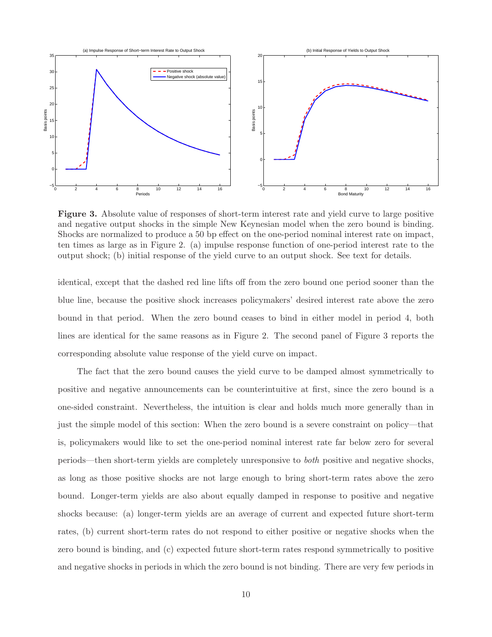

**Figure 3.** Absolute value of responses of short-term interest rate and yield curve to large positive and negative output shocks in the simple New Keynesian model when the zero bound is binding. Shocks are normalized to produce a 50 bp effect on the one-period nominal interest rate on impact, ten times as large as in Figure 2. (a) impulse response function of one-period interest rate to the output shock; (b) initial response of the yield curve to an output shock. See text for details.

identical, except that the dashed red line lifts off from the zero bound one period sooner than the blue line, because the positive shock increases policymakers' desired interest rate above the zero bound in that period. When the zero bound ceases to bind in either model in period 4, both lines are identical for the same reasons as in Figure 2. The second panel of Figure 3 reports the corresponding absolute value response of the yield curve on impact.

The fact that the zero bound causes the yield curve to be damped almost symmetrically to positive and negative announcements can be counterintuitive at first, since the zero bound is a one-sided constraint. Nevertheless, the intuition is clear and holds much more generally than in just the simple model of this section: When the zero bound is a severe constraint on policy—that is, policymakers would like to set the one-period nominal interest rate far below zero for several periods—then short-term yields are completely unresponsive to *both* positive and negative shocks, as long as those positive shocks are not large enough to bring short-term rates above the zero bound. Longer-term yields are also about equally damped in response to positive and negative shocks because: (a) longer-term yields are an average of current and expected future short-term rates, (b) current short-term rates do not respond to either positive or negative shocks when the zero bound is binding, and (c) expected future short-term rates respond symmetrically to positive and negative shocks in periods in which the zero bound is not binding. There are very few periods in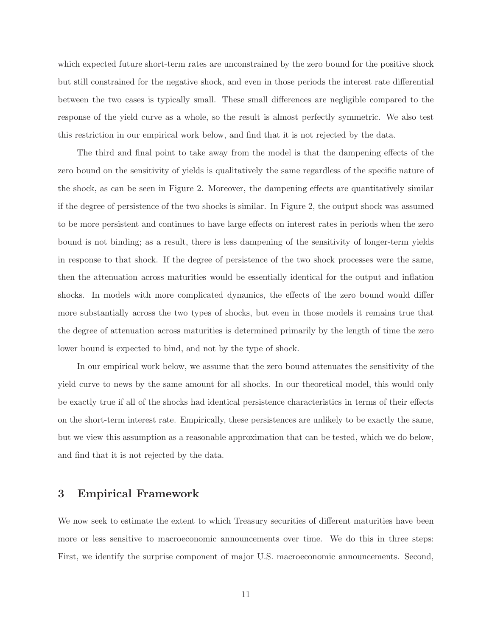which expected future short-term rates are unconstrained by the zero bound for the positive shock but still constrained for the negative shock, and even in those periods the interest rate differential between the two cases is typically small. These small differences are negligible compared to the response of the yield curve as a whole, so the result is almost perfectly symmetric. We also test this restriction in our empirical work below, and find that it is not rejected by the data.

The third and final point to take away from the model is that the dampening effects of the zero bound on the sensitivity of yields is qualitatively the same regardless of the specific nature of the shock, as can be seen in Figure 2. Moreover, the dampening effects are quantitatively similar if the degree of persistence of the two shocks is similar. In Figure 2, the output shock was assumed to be more persistent and continues to have large effects on interest rates in periods when the zero bound is not binding; as a result, there is less dampening of the sensitivity of longer-term yields in response to that shock. If the degree of persistence of the two shock processes were the same, then the attenuation across maturities would be essentially identical for the output and inflation shocks. In models with more complicated dynamics, the effects of the zero bound would differ more substantially across the two types of shocks, but even in those models it remains true that the degree of attenuation across maturities is determined primarily by the length of time the zero lower bound is expected to bind, and not by the type of shock.

In our empirical work below, we assume that the zero bound attenuates the sensitivity of the yield curve to news by the same amount for all shocks. In our theoretical model, this would only be exactly true if all of the shocks had identical persistence characteristics in terms of their effects on the short-term interest rate. Empirically, these persistences are unlikely to be exactly the same, but we view this assumption as a reasonable approximation that can be tested, which we do below, and find that it is not rejected by the data.

## **3 Empirical Framework**

We now seek to estimate the extent to which Treasury securities of different maturities have been more or less sensitive to macroeconomic announcements over time. We do this in three steps: First, we identify the surprise component of major U.S. macroeconomic announcements. Second,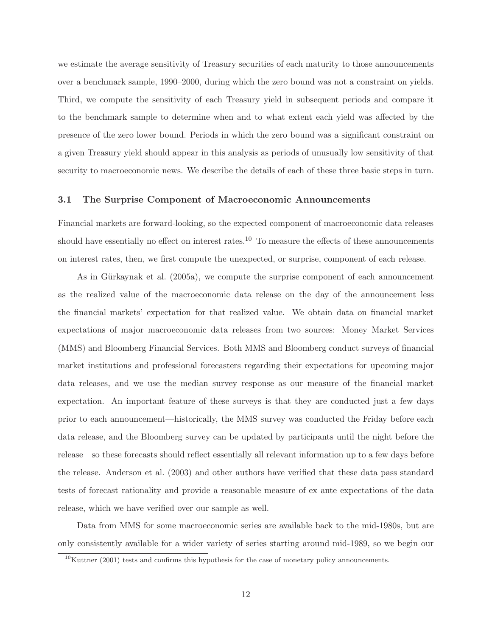we estimate the average sensitivity of Treasury securities of each maturity to those announcements over a benchmark sample, 1990–2000, during which the zero bound was not a constraint on yields. Third, we compute the sensitivity of each Treasury yield in subsequent periods and compare it to the benchmark sample to determine when and to what extent each yield was affected by the presence of the zero lower bound. Periods in which the zero bound was a significant constraint on a given Treasury yield should appear in this analysis as periods of unusually low sensitivity of that security to macroeconomic news. We describe the details of each of these three basic steps in turn.

## **3.1 The Surprise Component of Macroeconomic Announcements**

Financial markets are forward-looking, so the expected component of macroeconomic data releases should have essentially no effect on interest rates.<sup>10</sup> To measure the effects of these announcements on interest rates, then, we first compute the unexpected, or surprise, component of each release.

As in Gürkaynak et al. (2005a), we compute the surprise component of each announcement as the realized value of the macroeconomic data release on the day of the announcement less the financial markets' expectation for that realized value. We obtain data on financial market expectations of major macroeconomic data releases from two sources: Money Market Services (MMS) and Bloomberg Financial Services. Both MMS and Bloomberg conduct surveys of financial market institutions and professional forecasters regarding their expectations for upcoming major data releases, and we use the median survey response as our measure of the financial market expectation. An important feature of these surveys is that they are conducted just a few days prior to each announcement—historically, the MMS survey was conducted the Friday before each data release, and the Bloomberg survey can be updated by participants until the night before the release—so these forecasts should reflect essentially all relevant information up to a few days before the release. Anderson et al. (2003) and other authors have verified that these data pass standard tests of forecast rationality and provide a reasonable measure of ex ante expectations of the data release, which we have verified over our sample as well.

Data from MMS for some macroeconomic series are available back to the mid-1980s, but are only consistently available for a wider variety of series starting around mid-1989, so we begin our

 $10$ Kuttner (2001) tests and confirms this hypothesis for the case of monetary policy announcements.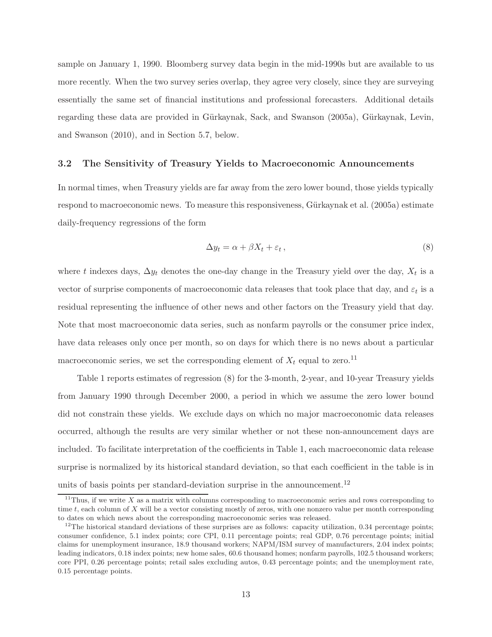sample on January 1, 1990. Bloomberg survey data begin in the mid-1990s but are available to us more recently. When the two survey series overlap, they agree very closely, since they are surveying essentially the same set of financial institutions and professional forecasters. Additional details regarding these data are provided in Gürkaynak, Sack, and Swanson (2005a), Gürkaynak, Levin, and Swanson (2010), and in Section 5.7, below.

#### **3.2 The Sensitivity of Treasury Yields to Macroeconomic Announcements**

In normal times, when Treasury yields are far away from the zero lower bound, those yields typically respond to macroeconomic news. To measure this responsiveness, Gürkaynak et al. (2005a) estimate daily-frequency regressions of the form

$$
\Delta y_t = \alpha + \beta X_t + \varepsilon_t, \qquad (8)
$$

where t indexes days,  $\Delta y_t$  denotes the one-day change in the Treasury yield over the day,  $X_t$  is a vector of surprise components of macroeconomic data releases that took place that day, and  $\varepsilon_t$  is a residual representing the influence of other news and other factors on the Treasury yield that day. Note that most macroeconomic data series, such as nonfarm payrolls or the consumer price index, have data releases only once per month, so on days for which there is no news about a particular macroeconomic series, we set the corresponding element of  $X_t$  equal to zero.<sup>11</sup>

Table 1 reports estimates of regression (8) for the 3-month, 2-year, and 10-year Treasury yields from January 1990 through December 2000, a period in which we assume the zero lower bound did not constrain these yields. We exclude days on which no major macroeconomic data releases occurred, although the results are very similar whether or not these non-announcement days are included. To facilitate interpretation of the coefficients in Table 1, each macroeconomic data release surprise is normalized by its historical standard deviation, so that each coefficient in the table is in units of basis points per standard-deviation surprise in the announcement.<sup>12</sup>

 $11$ Thus, if we write  $X$  as a matrix with columns corresponding to macroeconomic series and rows corresponding to time *t*, each column of X will be a vector consisting mostly of zeros, with one nonzero value per month corresponding to dates on which news about the corresponding macroeconomic series was released.

 $12$ The historical standard deviations of these surprises are as follows: capacity utilization, 0.34 percentage points; consumer confidence, 5.1 index points; core CPI, 0.11 percentage points; real GDP, 0.76 percentage points; initial claims for unemployment insurance, 18.9 thousand workers; NAPM/ISM survey of manufacturers, 2.04 index points; leading indicators, 0.18 index points; new home sales, 60.6 thousand homes; nonfarm payrolls, 102.5 thousand workers; core PPI, 0.26 percentage points; retail sales excluding autos, 0.43 percentage points; and the unemployment rate, 0.15 percentage points.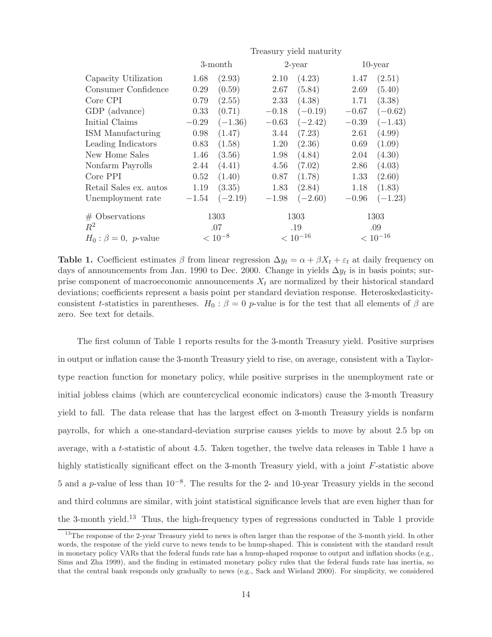| Treasury yield maturity |           |         |              |         |              |  |  |
|-------------------------|-----------|---------|--------------|---------|--------------|--|--|
| 3-month                 |           |         | $2$ -year    |         | $10$ -year   |  |  |
| 1.68                    | (2.93)    | 2.10    | (4.23)       | 1.47    | (2.51)       |  |  |
| 0.29                    | (0.59)    | 2.67    | (5.84)       | 2.69    | (5.40)       |  |  |
| 0.79                    | (2.55)    | 2.33    | (4.38)       | 1.71    | (3.38)       |  |  |
| 0.33                    | (0.71)    | $-0.18$ | $(-0.19)$    | $-0.67$ | $(-0.62)$    |  |  |
| $-0.29$                 | $(-1.36)$ | $-0.63$ | $(-2.42)$    | $-0.39$ | $(-1.43)$    |  |  |
| 0.98                    | (1.47)    | 3.44    | (7.23)       | 2.61    | (4.99)       |  |  |
| 0.83                    | (1.58)    | 1.20    | (2.36)       | 0.69    | (1.09)       |  |  |
| 1.46                    | (3.56)    | 1.98    | (4.84)       | 2.04    | (4.30)       |  |  |
| 2.44                    | (4.41)    | 4.56    | (7.02)       | 2.86    | (4.03)       |  |  |
| 0.52                    | (1.40)    | 0.87    | (1.78)       | 1.33    | (2.60)       |  |  |
| 1.19                    | (3.35)    | 1.83    | (2.84)       | 1.18    | (1.83)       |  |  |
| $-1.54$                 | $(-2.19)$ | $-1.98$ | $(-2.60)$    | $-0.96$ | $(-1.23)$    |  |  |
| 1303                    |           |         | 1303         |         | 1303         |  |  |
| .07                     |           |         | .19          |         | .09          |  |  |
| $< 10^{-8}$             |           |         | $< 10^{-16}$ |         | $< 10^{-16}$ |  |  |
|                         |           |         |              |         |              |  |  |

**Table 1.** Coefficient estimates  $\beta$  from linear regression  $\Delta y_t = \alpha + \beta X_t + \varepsilon_t$  at daily frequency on days of announcements from Jan. 1990 to Dec. 2000. Change in yields  $\Delta y_t$  is in basis points; surprise component of macroeconomic announcements  $X_t$  are normalized by their historical standard deviations; coefficients represent a basis point per standard deviation response. Heteroskedasticityconsistent t-statistics in parentheses.  $H_0: \beta = 0$  p-value is for the test that all elements of  $\beta$  are zero. See text for details.

The first column of Table 1 reports results for the 3-month Treasury yield. Positive surprises in output or inflation cause the 3-month Treasury yield to rise, on average, consistent with a Taylortype reaction function for monetary policy, while positive surprises in the unemployment rate or initial jobless claims (which are countercyclical economic indicators) cause the 3-month Treasury yield to fall. The data release that has the largest effect on 3-month Treasury yields is nonfarm payrolls, for which a one-standard-deviation surprise causes yields to move by about 2.5 bp on average, with a t-statistic of about 4.5. Taken together, the twelve data releases in Table 1 have a highly statistically significant effect on the 3-month Treasury yield, with a joint F-statistic above 5 and a p-value of less than 10−8. The results for the 2- and 10-year Treasury yields in the second and third columns are similar, with joint statistical significance levels that are even higher than for the 3-month yield.<sup>13</sup> Thus, the high-frequency types of regressions conducted in Table 1 provide

<sup>&</sup>lt;sup>13</sup>The response of the 2-year Treasury yield to news is often larger than the response of the 3-month yield. In other words, the response of the yield curve to news tends to be hump-shaped. This is consistent with the standard result in monetary policy VARs that the federal funds rate has a hump-shaped response to output and inflation shocks (e.g., Sims and Zha 1999), and the finding in estimated monetary policy rules that the federal funds rate has inertia, so that the central bank responds only gradually to news (e.g., Sack and Wieland 2000). For simplicity, we considered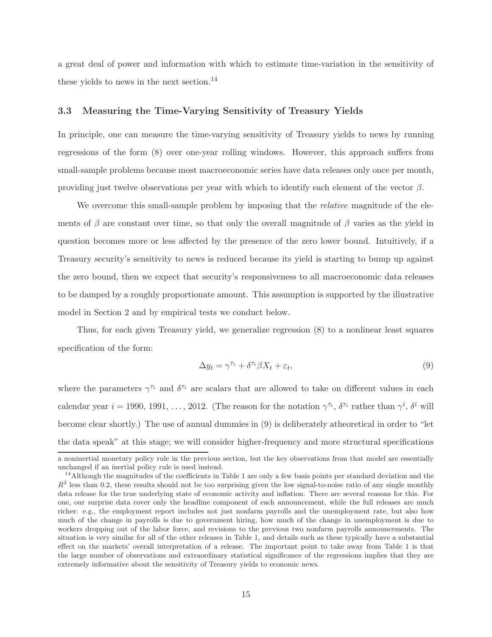a great deal of power and information with which to estimate time-variation in the sensitivity of these yields to news in the next section.<sup>14</sup>

## **3.3 Measuring the Time-Varying Sensitivity of Treasury Yields**

In principle, one can measure the time-varying sensitivity of Treasury yields to news by running regressions of the form (8) over one-year rolling windows. However, this approach suffers from small-sample problems because most macroeconomic series have data releases only once per month, providing just twelve observations per year with which to identify each element of the vector  $\beta$ .

We overcome this small-sample problem by imposing that the *relative* magnitude of the elements of  $\beta$  are constant over time, so that only the overall magnitude of  $\beta$  varies as the yield in question becomes more or less affected by the presence of the zero lower bound. Intuitively, if a Treasury security's sensitivity to news is reduced because its yield is starting to bump up against the zero bound, then we expect that security's responsiveness to all macroeconomic data releases to be damped by a roughly proportionate amount. This assumption is supported by the illustrative model in Section 2 and by empirical tests we conduct below.

Thus, for each given Treasury yield, we generalize regression (8) to a nonlinear least squares specification of the form:

$$
\Delta y_t = \gamma^{\tau_i} + \delta^{\tau_i} \beta X_t + \varepsilon_t,\tag{9}
$$

where the parameters  $\gamma^{\tau_i}$  and  $\delta^{\tau_i}$  are scalars that are allowed to take on different values in each calendar year  $i = 1990, 1991, \ldots, 2012$ . (The reason for the notation  $\gamma^{\tau_i}$ ,  $\delta^{\tau_i}$  rather than  $\gamma^i$ ,  $\delta^i$  will become clear shortly.) The use of annual dummies in (9) is deliberately atheoretical in order to "let the data speak" at this stage; we will consider higher-frequency and more structural specifications

a noninertial monetary policy rule in the previous section, but the key observations from that model are essentially unchanged if an inertial policy rule is used instead.

<sup>&</sup>lt;sup>14</sup>Although the magnitudes of the coefficients in Table 1 are only a few basis points per standard deviation and the  $R<sup>2</sup>$  less than 0.2, these results should not be too surprising given the low signal-to-noise ratio of any single monthly data release for the true underlying state of economic activity and inflation. There are several reasons for this. For one, our surprise data cover only the headline component of each announcement, while the full releases are much richer: e.g., the employment report includes not just nonfarm payrolls and the unemployment rate, but also how much of the change in payrolls is due to government hiring, how much of the change in unemployment is due to workers dropping out of the labor force, and revisions to the previous two nonfarm payrolls announcements. The situation is very similar for all of the other releases in Table 1, and details such as these typically have a substantial effect on the markets' overall interpretation of a release. The important point to take away from Table 1 is that the large number of observations and extraordinary statistical significance of the regressions implies that they are extremely informative about the sensitivity of Treasury yields to economic news.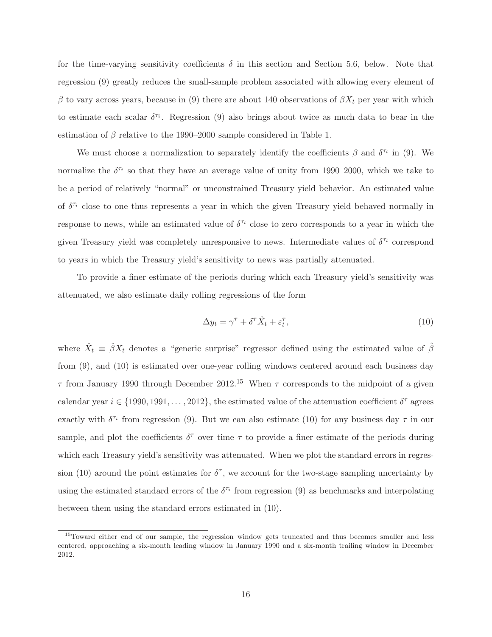for the time-varying sensitivity coefficients  $\delta$  in this section and Section 5.6, below. Note that regression (9) greatly reduces the small-sample problem associated with allowing every element of β to vary across years, because in (9) there are about 140 observations of  $\beta X_t$  per year with which to estimate each scalar  $\delta^{\tau_i}$ . Regression (9) also brings about twice as much data to bear in the estimation of  $\beta$  relative to the 1990–2000 sample considered in Table 1.

We must choose a normalization to separately identify the coefficients  $\beta$  and  $\delta^{\tau_i}$  in (9). We normalize the  $\delta^{\tau_i}$  so that they have an average value of unity from 1990–2000, which we take to be a period of relatively "normal" or unconstrained Treasury yield behavior. An estimated value of  $\delta^{\tau_i}$  close to one thus represents a year in which the given Treasury yield behaved normally in response to news, while an estimated value of  $\delta^{\tau_i}$  close to zero corresponds to a year in which the given Treasury yield was completely unresponsive to news. Intermediate values of  $\delta^{\tau_i}$  correspond to years in which the Treasury yield's sensitivity to news was partially attenuated.

To provide a finer estimate of the periods during which each Treasury yield's sensitivity was attenuated, we also estimate daily rolling regressions of the form

$$
\Delta y_t = \gamma^\tau + \delta^\tau \hat{X}_t + \varepsilon_t^\tau,\tag{10}
$$

where  $\hat{X}_t = \hat{\beta} X_t$  denotes a "generic surprise" regressor defined using the estimated value of  $\hat{\beta}$ from (9), and (10) is estimated over one-year rolling windows centered around each business day  $\tau$  from January 1990 through December 2012.<sup>15</sup> When  $\tau$  corresponds to the midpoint of a given calendar year  $i \in \{1990, 1991, \ldots, 2012\}$ , the estimated value of the attenuation coefficient  $\delta^{\tau}$  agrees exactly with  $\delta^{\tau_i}$  from regression (9). But we can also estimate (10) for any business day  $\tau$  in our sample, and plot the coefficients  $\delta^{\tau}$  over time  $\tau$  to provide a finer estimate of the periods during which each Treasury yield's sensitivity was attenuated. When we plot the standard errors in regression (10) around the point estimates for  $\delta^{\tau}$ , we account for the two-stage sampling uncertainty by using the estimated standard errors of the  $\delta^{\tau_i}$  from regression (9) as benchmarks and interpolating between them using the standard errors estimated in (10).

<sup>&</sup>lt;sup>15</sup>Toward either end of our sample, the regression window gets truncated and thus becomes smaller and less centered, approaching a six-month leading window in January 1990 and a six-month trailing window in December 2012.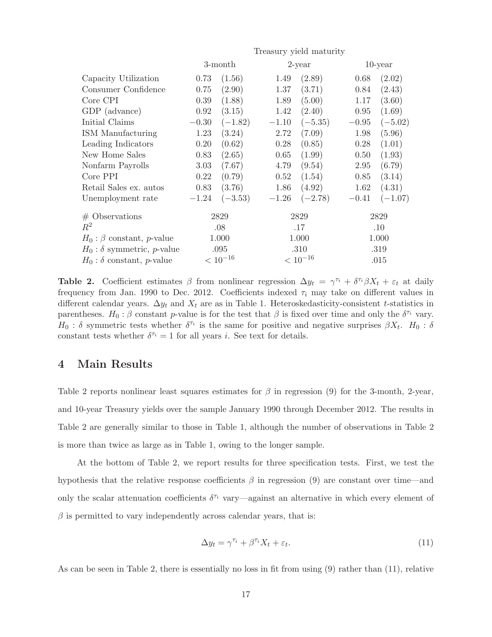|                                             | Treasury yield maturity |           |              |           |            |           |  |
|---------------------------------------------|-------------------------|-----------|--------------|-----------|------------|-----------|--|
|                                             | 3-month                 |           | $2$ -year    |           | $10$ -year |           |  |
| Capacity Utilization                        | 0.73                    | (1.56)    | 1.49         | (2.89)    | 0.68       | (2.02)    |  |
| Consumer Confidence                         | 0.75                    | (2.90)    | 1.37         | (3.71)    | 0.84       | (2.43)    |  |
| Core CPI                                    | 0.39                    | (1.88)    | 1.89         | (5.00)    | 1.17       | (3.60)    |  |
| GDP (advance)                               | 0.92                    | (3.15)    | 1.42         | (2.40)    | 0.95       | (1.69)    |  |
| Initial Claims                              | $-0.30$                 | $(-1.82)$ | $-1.10$      | $(-5.35)$ | $-0.95$    | $(-5.02)$ |  |
| ISM Manufacturing                           | 1.23                    | (3.24)    | 2.72         | (7.09)    | 1.98       | (5.96)    |  |
| Leading Indicators                          | 0.20                    | (0.62)    | 0.28         | (0.85)    | 0.28       | (1.01)    |  |
| New Home Sales                              | 0.83                    | (2.65)    | 0.65         | (1.99)    | 0.50       | (1.93)    |  |
| Nonfarm Payrolls                            | 3.03                    | (7.67)    | 4.79         | (9.54)    | 2.95       | (6.79)    |  |
| Core PPI                                    | 0.22                    | (0.79)    | 0.52         | (1.54)    | 0.85       | (3.14)    |  |
| Retail Sales ex. autos                      | 0.83                    | (3.76)    | 1.86         | (4.92)    | 1.62       | (4.31)    |  |
| Unemployment rate                           | $-1.24$                 | $(-3.53)$ | $-1.26$      | $(-2.78)$ | $-0.41$    | $(-1.07)$ |  |
| $#$ Observations                            | 2829                    |           |              | 2829      |            | 2829      |  |
| $R^2$                                       | .08                     |           |              | .17       |            | .10       |  |
| $H_0$ : $\beta$ constant, <i>p</i> -value   | 1.000                   |           | 1.000        |           | 1.000      |           |  |
| $H_0$ : $\delta$ symmetric, <i>p</i> -value | .095                    |           | .310         |           | .319       |           |  |
| $H_0$ : $\delta$ constant, <i>p</i> -value  | $< 10^{-16}$            |           | $< 10^{-16}$ |           | .015       |           |  |

**Table 2.** Coefficient estimates  $\beta$  from nonlinear regression  $\Delta y_t = \gamma^{\tau_i} + \delta^{\tau_i} \beta X_t + \varepsilon_t$  at daily frequency from Jan. 1990 to Dec. 2012. Coefficients indexed  $\tau_i$  may take on different values in different calendar years.  $\Delta y_t$  and  $X_t$  are as in Table 1. Heteroskedasticity-consistent t-statistics in parentheses.  $H_0: \beta$  constant p-value is for the test that  $\beta$  is fixed over time and only the  $\delta^{\tau_i}$  vary.  $H_0$ : δ symmetric tests whether  $\delta^{\tau_i}$  is the same for positive and negative surprises  $\beta X_t$ .  $H_0$ : δ constant tests whether  $\delta^{\tau_i} = 1$  for all years *i*. See text for details.

# **4 Main Results**

Table 2 reports nonlinear least squares estimates for  $\beta$  in regression (9) for the 3-month, 2-year, and 10-year Treasury yields over the sample January 1990 through December 2012. The results in Table 2 are generally similar to those in Table 1, although the number of observations in Table 2 is more than twice as large as in Table 1, owing to the longer sample.

At the bottom of Table 2, we report results for three specification tests. First, we test the hypothesis that the relative response coefficients  $\beta$  in regression (9) are constant over time—and only the scalar attenuation coefficients  $\delta^{\tau_i}$  vary—against an alternative in which every element of  $\beta$  is permitted to vary independently across calendar years, that is:

$$
\Delta y_t = \gamma^{\tau_i} + \beta^{\tau_i} X_t + \varepsilon_t.
$$
\n(11)

As can be seen in Table 2, there is essentially no loss in fit from using (9) rather than (11), relative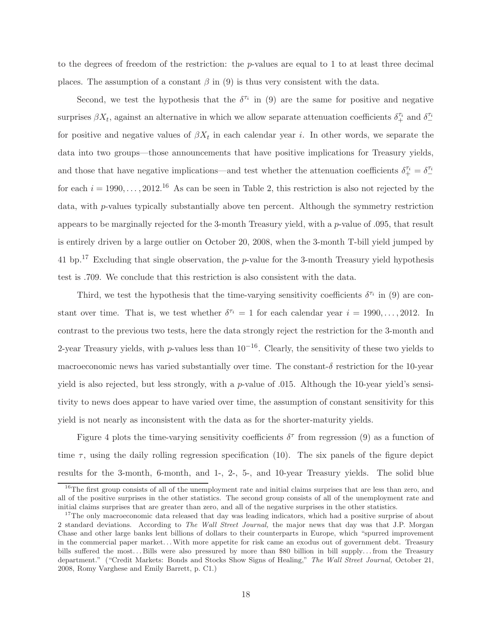to the degrees of freedom of the restriction: the p-values are equal to 1 to at least three decimal places. The assumption of a constant  $\beta$  in (9) is thus very consistent with the data.

Second, we test the hypothesis that the  $\delta^{\tau_i}$  in (9) are the same for positive and negative surprises  $\beta X_t$ , against an alternative in which we allow separate attenuation coefficients  $\delta_+^{\tau_i}$  and  $\delta_-^{\tau_i}$ for positive and negative values of  $\beta X_t$  in each calendar year i. In other words, we separate the data into two groups—those announcements that have positive implications for Treasury yields, and those that have negative implications—and test whether the attenuation coefficients  $\delta^{r_i}_+ = \delta^{r_i}_$ for each  $i = 1990, \ldots, 2012$ .<sup>16</sup> As can be seen in Table 2, this restriction is also not rejected by the data, with p-values typically substantially above ten percent. Although the symmetry restriction appears to be marginally rejected for the 3-month Treasury yield, with a p-value of .095, that result is entirely driven by a large outlier on October 20, 2008, when the 3-month T-bill yield jumped by 41 bp.<sup>17</sup> Excluding that single observation, the p-value for the 3-month Treasury yield hypothesis test is .709. We conclude that this restriction is also consistent with the data.

Third, we test the hypothesis that the time-varying sensitivity coefficients  $\delta^{\tau_i}$  in (9) are constant over time. That is, we test whether  $\delta^{\tau_i} = 1$  for each calendar year  $i = 1990, \ldots, 2012$ . In contrast to the previous two tests, here the data strongly reject the restriction for the 3-month and 2-year Treasury yields, with p-values less than  $10^{-16}$ . Clearly, the sensitivity of these two yields to macroeconomic news has varied substantially over time. The constant-δ restriction for the 10-year yield is also rejected, but less strongly, with a p-value of .015. Although the 10-year yield's sensitivity to news does appear to have varied over time, the assumption of constant sensitivity for this yield is not nearly as inconsistent with the data as for the shorter-maturity yields.

Figure 4 plots the time-varying sensitivity coefficients  $\delta^{\tau}$  from regression (9) as a function of time  $\tau$ , using the daily rolling regression specification (10). The six panels of the figure depict results for the 3-month, 6-month, and 1-, 2-, 5-, and 10-year Treasury yields. The solid blue

 $16$ The first group consists of all of the unemployment rate and initial claims surprises that are less than zero, and all of the positive surprises in the other statistics. The second group consists of all of the unemployment rate and initial claims surprises that are greater than zero, and all of the negative surprises in the other statistics.

<sup>&</sup>lt;sup>17</sup>The only macroeconomic data released that day was leading indicators, which had a positive surprise of about 2 standard deviations. According to *The Wall Street Journal,* the major news that day was that J.P. Morgan Chase and other large banks lent billions of dollars to their counterparts in Europe, which "spurred improvement in the commercial paper market. . .With more appetite for risk came an exodus out of government debt. Treasury bills suffered the most. . . Bills were also pressured by more than \$80 billion in bill supply. . . from the Treasury department." ("Credit Markets: Bonds and Stocks Show Signs of Healing," *The Wall Street Journal,* October 21, 2008, Romy Varghese and Emily Barrett, p. C1.)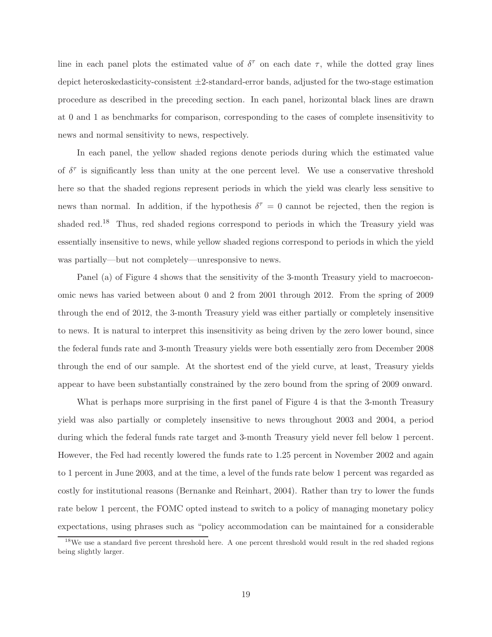line in each panel plots the estimated value of  $\delta^{\tau}$  on each date  $\tau$ , while the dotted gray lines depict heteroskedasticity-consistent ±2-standard-error bands, adjusted for the two-stage estimation procedure as described in the preceding section. In each panel, horizontal black lines are drawn at 0 and 1 as benchmarks for comparison, corresponding to the cases of complete insensitivity to news and normal sensitivity to news, respectively.

In each panel, the yellow shaded regions denote periods during which the estimated value of  $\delta^{\tau}$  is significantly less than unity at the one percent level. We use a conservative threshold here so that the shaded regions represent periods in which the yield was clearly less sensitive to news than normal. In addition, if the hypothesis  $\delta^{\tau} = 0$  cannot be rejected, then the region is shaded red.<sup>18</sup> Thus, red shaded regions correspond to periods in which the Treasury yield was essentially insensitive to news, while yellow shaded regions correspond to periods in which the yield was partially—but not completely—unresponsive to news.

Panel (a) of Figure 4 shows that the sensitivity of the 3-month Treasury yield to macroeconomic news has varied between about 0 and 2 from 2001 through 2012. From the spring of 2009 through the end of 2012, the 3-month Treasury yield was either partially or completely insensitive to news. It is natural to interpret this insensitivity as being driven by the zero lower bound, since the federal funds rate and 3-month Treasury yields were both essentially zero from December 2008 through the end of our sample. At the shortest end of the yield curve, at least, Treasury yields appear to have been substantially constrained by the zero bound from the spring of 2009 onward.

What is perhaps more surprising in the first panel of Figure 4 is that the 3-month Treasury yield was also partially or completely insensitive to news throughout 2003 and 2004, a period during which the federal funds rate target and 3-month Treasury yield never fell below 1 percent. However, the Fed had recently lowered the funds rate to 1.25 percent in November 2002 and again to 1 percent in June 2003, and at the time, a level of the funds rate below 1 percent was regarded as costly for institutional reasons (Bernanke and Reinhart, 2004). Rather than try to lower the funds rate below 1 percent, the FOMC opted instead to switch to a policy of managing monetary policy expectations, using phrases such as "policy accommodation can be maintained for a considerable

<sup>&</sup>lt;sup>18</sup>We use a standard five percent threshold here. A one percent threshold would result in the red shaded regions being slightly larger.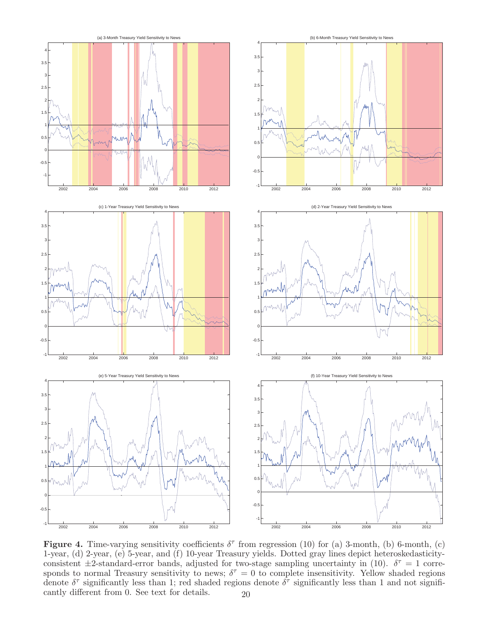

**Figure 4.** Time-varying sensitivity coefficients  $\delta^{\tau}$  from regression (10) for (a) 3-month, (b) 6-month, (c) 1-year, (d) 2-year, (e) 5-year, and (f) 10-year Treasury yields. Dotted gray lines depict heteroskedasticityconsistent  $\pm 2$ -standard-error bands, adjusted for two-stage sampling uncertainty in (10).  $\delta^{\tau} = 1$  corresponds to normal Treasury sensitivity to news;  $\delta^{\tau} = 0$  to complete insensitivity. Yellow shaded regions denote  $\delta^{\tau}$  significantly less than 1; red shaded regions denote  $\delta^{\tau}$  significantly less than 1 and not significantly different from 0. See text for details.  $20$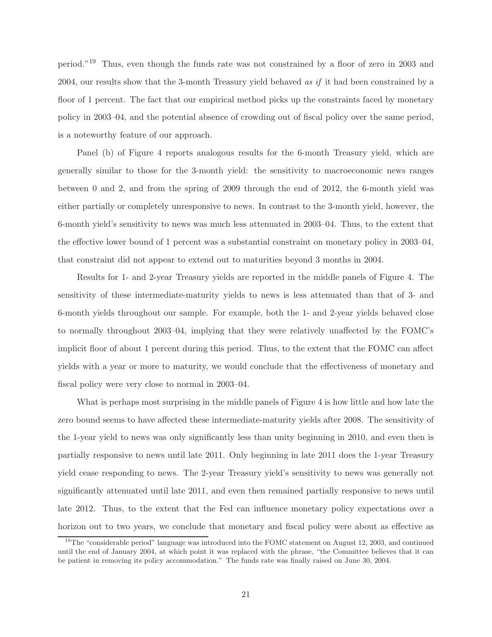period."<sup>19</sup> Thus, even though the funds rate was not constrained by a floor of zero in 2003 and 2004, our results show that the 3-month Treasury yield behaved *as if* it had been constrained by a floor of 1 percent. The fact that our empirical method picks up the constraints faced by monetary policy in 2003–04, and the potential absence of crowding out of fiscal policy over the same period, is a noteworthy feature of our approach.

Panel (b) of Figure 4 reports analogous results for the 6-month Treasury yield, which are generally similar to those for the 3-month yield: the sensitivity to macroeconomic news ranges between 0 and 2, and from the spring of 2009 through the end of 2012, the 6-month yield was either partially or completely unresponsive to news. In contrast to the 3-month yield, however, the 6-month yield's sensitivity to news was much less attenuated in 2003–04. Thus, to the extent that the effective lower bound of 1 percent was a substantial constraint on monetary policy in 2003–04, that constraint did not appear to extend out to maturities beyond 3 months in 2004.

Results for 1- and 2-year Treasury yields are reported in the middle panels of Figure 4. The sensitivity of these intermediate-maturity yields to news is less attenuated than that of 3- and 6-month yields throughout our sample. For example, both the 1- and 2-year yields behaved close to normally throughout 2003–04, implying that they were relatively unaffected by the FOMC's implicit floor of about 1 percent during this period. Thus, to the extent that the FOMC can affect yields with a year or more to maturity, we would conclude that the effectiveness of monetary and fiscal policy were very close to normal in 2003–04.

What is perhaps most surprising in the middle panels of Figure 4 is how little and how late the zero bound seems to have affected these intermediate-maturity yields after 2008. The sensitivity of the 1-year yield to news was only significantly less than unity beginning in 2010, and even then is partially responsive to news until late 2011. Only beginning in late 2011 does the 1-year Treasury yield cease responding to news. The 2-year Treasury yield's sensitivity to news was generally not significantly attenuated until late 2011, and even then remained partially responsive to news until late 2012. Thus, to the extent that the Fed can influence monetary policy expectations over a horizon out to two years, we conclude that monetary and fiscal policy were about as effective as

<sup>&</sup>lt;sup>19</sup>The "considerable period" language was introduced into the FOMC statement on August 12, 2003, and continued until the end of January 2004, at which point it was replaced with the phrase, "the Committee believes that it can be patient in removing its policy accommodation." The funds rate was finally raised on June 30, 2004.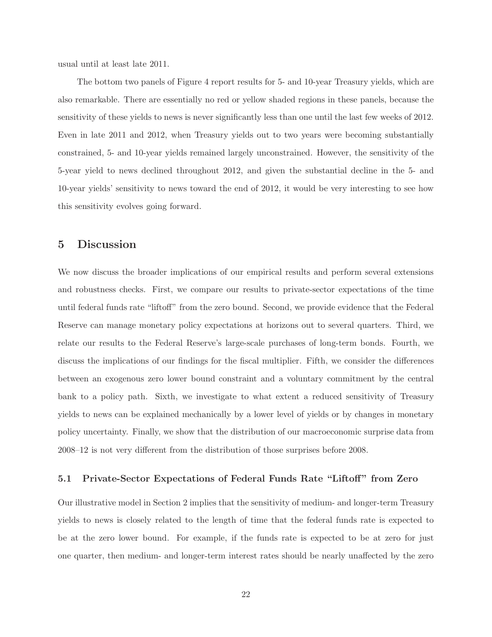usual until at least late 2011.

The bottom two panels of Figure 4 report results for 5- and 10-year Treasury yields, which are also remarkable. There are essentially no red or yellow shaded regions in these panels, because the sensitivity of these yields to news is never significantly less than one until the last few weeks of 2012. Even in late 2011 and 2012, when Treasury yields out to two years were becoming substantially constrained, 5- and 10-year yields remained largely unconstrained. However, the sensitivity of the 5-year yield to news declined throughout 2012, and given the substantial decline in the 5- and 10-year yields' sensitivity to news toward the end of 2012, it would be very interesting to see how this sensitivity evolves going forward.

## **5 Discussion**

We now discuss the broader implications of our empirical results and perform several extensions and robustness checks. First, we compare our results to private-sector expectations of the time until federal funds rate "liftoff" from the zero bound. Second, we provide evidence that the Federal Reserve can manage monetary policy expectations at horizons out to several quarters. Third, we relate our results to the Federal Reserve's large-scale purchases of long-term bonds. Fourth, we discuss the implications of our findings for the fiscal multiplier. Fifth, we consider the differences between an exogenous zero lower bound constraint and a voluntary commitment by the central bank to a policy path. Sixth, we investigate to what extent a reduced sensitivity of Treasury yields to news can be explained mechanically by a lower level of yields or by changes in monetary policy uncertainty. Finally, we show that the distribution of our macroeconomic surprise data from 2008–12 is not very different from the distribution of those surprises before 2008.

## **5.1 Private-Sector Expectations of Federal Funds Rate "Liftoff" from Zero**

Our illustrative model in Section 2 implies that the sensitivity of medium- and longer-term Treasury yields to news is closely related to the length of time that the federal funds rate is expected to be at the zero lower bound. For example, if the funds rate is expected to be at zero for just one quarter, then medium- and longer-term interest rates should be nearly unaffected by the zero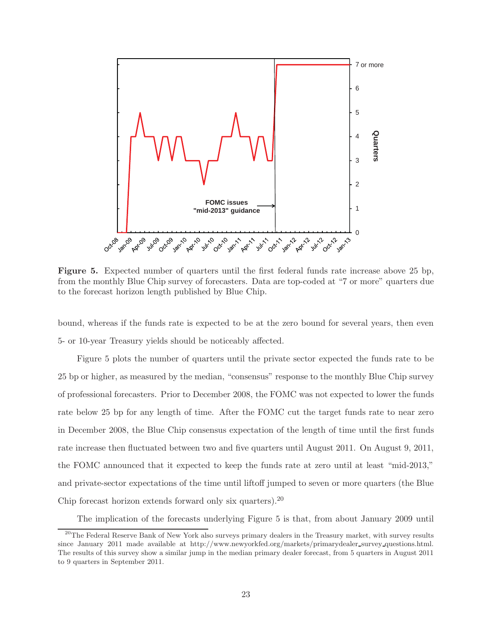

**Figure 5.** Expected number of quarters until the first federal funds rate increase above 25 bp, from the monthly Blue Chip survey of forecasters. Data are top-coded at "7 or more" quarters due to the forecast horizon length published by Blue Chip.

bound, whereas if the funds rate is expected to be at the zero bound for several years, then even 5- or 10-year Treasury yields should be noticeably affected.

Figure 5 plots the number of quarters until the private sector expected the funds rate to be 25 bp or higher, as measured by the median, "consensus" response to the monthly Blue Chip survey of professional forecasters. Prior to December 2008, the FOMC was not expected to lower the funds rate below 25 bp for any length of time. After the FOMC cut the target funds rate to near zero in December 2008, the Blue Chip consensus expectation of the length of time until the first funds rate increase then fluctuated between two and five quarters until August 2011. On August 9, 2011, the FOMC announced that it expected to keep the funds rate at zero until at least "mid-2013," and private-sector expectations of the time until liftoff jumped to seven or more quarters (the Blue Chip forecast horizon extends forward only six quarters).<sup>20</sup>

The implication of the forecasts underlying Figure 5 is that, from about January 2009 until

<sup>&</sup>lt;sup>20</sup>The Federal Reserve Bank of New York also surveys primary dealers in the Treasury market, with survey results since January 2011 made available at http://www.newyorkfed.org/markets/primarydealer survey questions.html. The results of this survey show a similar jump in the median primary dealer forecast, from 5 quarters in August 2011 to 9 quarters in September 2011.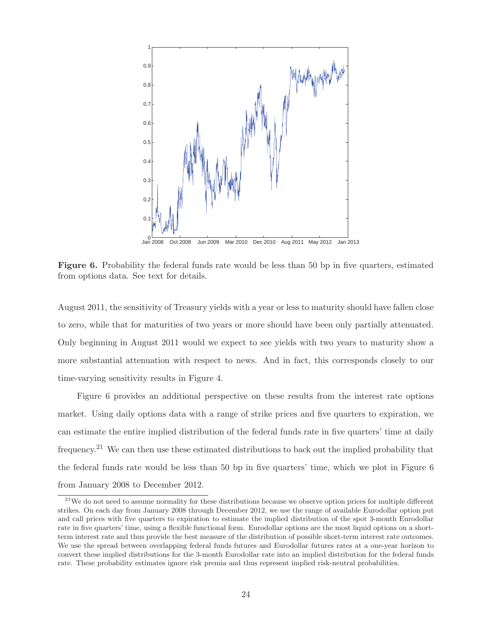

**Figure 6.** Probability the federal funds rate would be less than 50 bp in five quarters, estimated from options data. See text for details.

August 2011, the sensitivity of Treasury yields with a year or less to maturity should have fallen close to zero, while that for maturities of two years or more should have been only partially attenuated. Only beginning in August 2011 would we expect to see yields with two years to maturity show a more substantial attenuation with respect to news. And in fact, this corresponds closely to our time-varying sensitivity results in Figure 4.

Figure 6 provides an additional perspective on these results from the interest rate options market. Using daily options data with a range of strike prices and five quarters to expiration, we can estimate the entire implied distribution of the federal funds rate in five quarters' time at daily frequency.<sup>21</sup> We can then use these estimated distributions to back out the implied probability that the federal funds rate would be less than 50 bp in five quarters' time, which we plot in Figure 6 from January 2008 to December 2012.

 $21$ We do not need to assume normality for these distributions because we observe option prices for multiple different strikes. On each day from January 2008 through December 2012, we use the range of available Eurodollar option put and call prices with five quarters to expiration to estimate the implied distribution of the spot 3-month Eurodollar rate in five quarters' time, using a flexible functional form. Eurodollar options are the most liquid options on a shortterm interest rate and thus provide the best measure of the distribution of possible short-term interest rate outcomes. We use the spread between overlapping federal funds futures and Eurodollar futures rates at a one-year horizon to convert these implied distributions for the 3-month Eurodollar rate into an implied distribution for the federal funds rate. These probability estimates ignore risk premia and thus represent implied risk-neutral probabilities.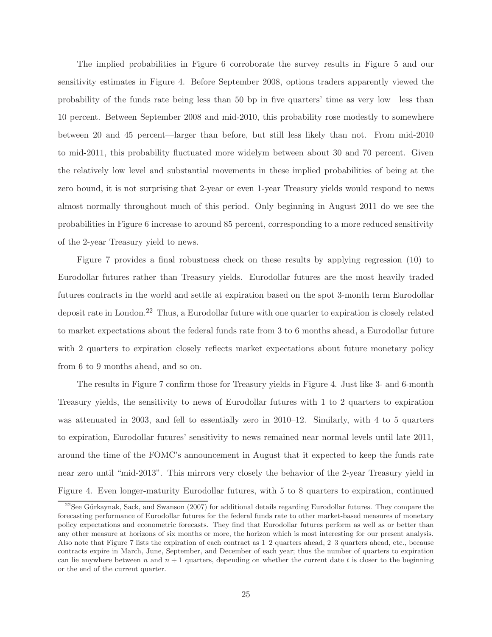The implied probabilities in Figure 6 corroborate the survey results in Figure 5 and our sensitivity estimates in Figure 4. Before September 2008, options traders apparently viewed the probability of the funds rate being less than 50 bp in five quarters' time as very low—less than 10 percent. Between September 2008 and mid-2010, this probability rose modestly to somewhere between 20 and 45 percent—larger than before, but still less likely than not. From mid-2010 to mid-2011, this probability fluctuated more widelym between about 30 and 70 percent. Given the relatively low level and substantial movements in these implied probabilities of being at the zero bound, it is not surprising that 2-year or even 1-year Treasury yields would respond to news almost normally throughout much of this period. Only beginning in August 2011 do we see the probabilities in Figure 6 increase to around 85 percent, corresponding to a more reduced sensitivity of the 2-year Treasury yield to news.

Figure 7 provides a final robustness check on these results by applying regression (10) to Eurodollar futures rather than Treasury yields. Eurodollar futures are the most heavily traded futures contracts in the world and settle at expiration based on the spot 3-month term Eurodollar deposit rate in London.<sup>22</sup> Thus, a Eurodollar future with one quarter to expiration is closely related to market expectations about the federal funds rate from 3 to 6 months ahead, a Eurodollar future with 2 quarters to expiration closely reflects market expectations about future monetary policy from 6 to 9 months ahead, and so on.

The results in Figure 7 confirm those for Treasury yields in Figure 4. Just like 3- and 6-month Treasury yields, the sensitivity to news of Eurodollar futures with 1 to 2 quarters to expiration was attenuated in 2003, and fell to essentially zero in 2010–12. Similarly, with 4 to 5 quarters to expiration, Eurodollar futures' sensitivity to news remained near normal levels until late 2011, around the time of the FOMC's announcement in August that it expected to keep the funds rate near zero until "mid-2013". This mirrors very closely the behavior of the 2-year Treasury yield in Figure 4. Even longer-maturity Eurodollar futures, with 5 to 8 quarters to expiration, continued

 $22$ See Gürkaynak, Sack, and Swanson (2007) for additional details regarding Eurodollar futures. They compare the forecasting performance of Eurodollar futures for the federal funds rate to other market-based measures of monetary policy expectations and econometric forecasts. They find that Eurodollar futures perform as well as or better than any other measure at horizons of six months or more, the horizon which is most interesting for our present analysis. Also note that Figure 7 lists the expiration of each contract as 1–2 quarters ahead, 2–3 quarters ahead, etc., because contracts expire in March, June, September, and December of each year; thus the number of quarters to expiration can lie anywhere between *n* and  $n + 1$  quarters, depending on whether the current date *t* is closer to the beginning or the end of the current quarter.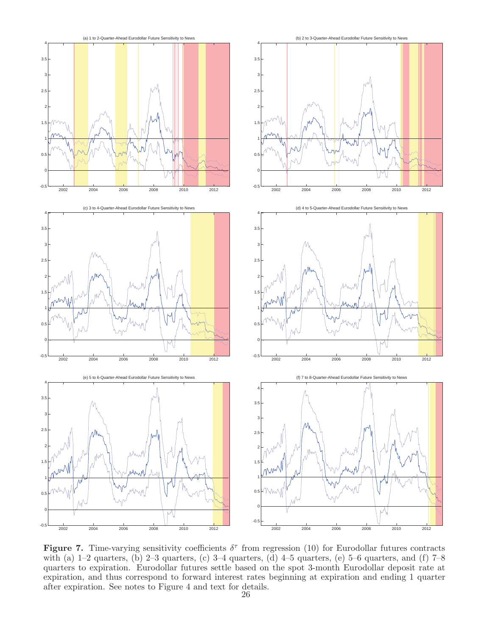

**Figure 7.** Time-varying sensitivity coefficients  $\delta^{\tau}$  from regression (10) for Eurodollar futures contracts with (a)  $1-2$  quarters, (b)  $2-3$  quarters, (c)  $3-4$  quarters, (d)  $4-5$  quarters, (e)  $5-6$  quarters, and (f)  $7-8$ quarters to expiration. Eurodollar futures settle based on the spot 3-month Eurodollar deposit rate at expiration, and thus correspond to forward interest rates beginning at expiration and ending 1 quarter after expiration. See notes to Figure 4 and text for details.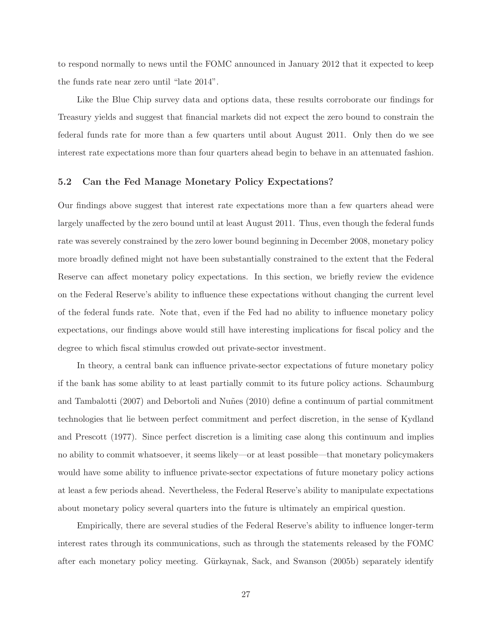to respond normally to news until the FOMC announced in January 2012 that it expected to keep the funds rate near zero until "late 2014".

Like the Blue Chip survey data and options data, these results corroborate our findings for Treasury yields and suggest that financial markets did not expect the zero bound to constrain the federal funds rate for more than a few quarters until about August 2011. Only then do we see interest rate expectations more than four quarters ahead begin to behave in an attenuated fashion.

## **5.2 Can the Fed Manage Monetary Policy Expectations?**

Our findings above suggest that interest rate expectations more than a few quarters ahead were largely unaffected by the zero bound until at least August 2011. Thus, even though the federal funds rate was severely constrained by the zero lower bound beginning in December 2008, monetary policy more broadly defined might not have been substantially constrained to the extent that the Federal Reserve can affect monetary policy expectations. In this section, we briefly review the evidence on the Federal Reserve's ability to influence these expectations without changing the current level of the federal funds rate. Note that, even if the Fed had no ability to influence monetary policy expectations, our findings above would still have interesting implications for fiscal policy and the degree to which fiscal stimulus crowded out private-sector investment.

In theory, a central bank can influence private-sector expectations of future monetary policy if the bank has some ability to at least partially commit to its future policy actions. Schaumburg and Tambalotti (2007) and Debortoli and Nuñes (2010) define a continuum of partial commitment technologies that lie between perfect commitment and perfect discretion, in the sense of Kydland and Prescott (1977). Since perfect discretion is a limiting case along this continuum and implies no ability to commit whatsoever, it seems likely—or at least possible—that monetary policymakers would have some ability to influence private-sector expectations of future monetary policy actions at least a few periods ahead. Nevertheless, the Federal Reserve's ability to manipulate expectations about monetary policy several quarters into the future is ultimately an empirical question.

Empirically, there are several studies of the Federal Reserve's ability to influence longer-term interest rates through its communications, such as through the statements released by the FOMC after each monetary policy meeting. Gürkaynak, Sack, and Swanson (2005b) separately identify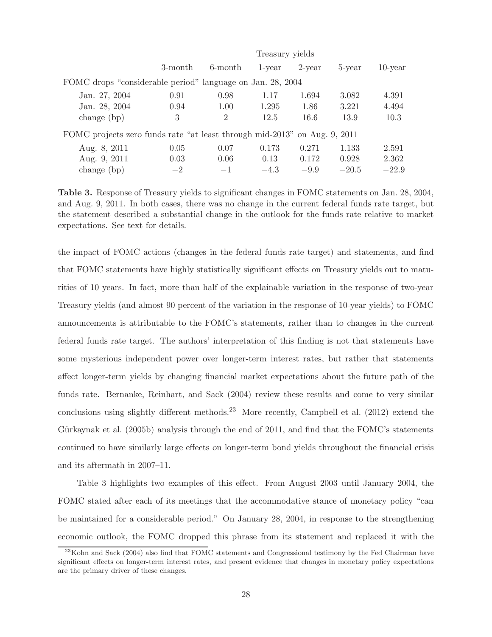|                                                                           |         | Treasury yields |        |           |         |            |  |  |
|---------------------------------------------------------------------------|---------|-----------------|--------|-----------|---------|------------|--|--|
|                                                                           | 3-month | 6-month         | 1-year | $2$ -year | 5-year  | $10$ -year |  |  |
| FOMC drops "considerable period" language on Jan. 28, 2004                |         |                 |        |           |         |            |  |  |
| Jan. 27, 2004                                                             | 0.91    | 0.98            | 1.17   | 1.694     | 3.082   | 4.391      |  |  |
| Jan. 28, 2004                                                             | 0.94    | 1.00            | 1.295  | 1.86      | 3.221   | 4.494      |  |  |
| change $(bp)$                                                             | 3       | $\overline{2}$  | 12.5   | 16.6      | 13.9    | 10.3       |  |  |
| FOMC projects zero funds rate "at least through mid-2013" on Aug. 9, 2011 |         |                 |        |           |         |            |  |  |
| Aug. 8, 2011                                                              | 0.05    | 0.07            | 0.173  | 0.271     | 1.133   | 2.591      |  |  |
| Aug. 9, 2011                                                              | 0.03    | 0.06            | 0.13   | 0.172     | 0.928   | 2.362      |  |  |
| change $(bp)$                                                             | $-2$    | $-1$            | $-4.3$ | $-9.9$    | $-20.5$ | $-22.9$    |  |  |

**Table 3.** Response of Treasury yields to significant changes in FOMC statements on Jan. 28, 2004, and Aug. 9, 2011. In both cases, there was no change in the current federal funds rate target, but the statement described a substantial change in the outlook for the funds rate relative to market expectations. See text for details.

the impact of FOMC actions (changes in the federal funds rate target) and statements, and find that FOMC statements have highly statistically significant effects on Treasury yields out to maturities of 10 years. In fact, more than half of the explainable variation in the response of two-year Treasury yields (and almost 90 percent of the variation in the response of 10-year yields) to FOMC announcements is attributable to the FOMC's statements, rather than to changes in the current federal funds rate target. The authors' interpretation of this finding is not that statements have some mysterious independent power over longer-term interest rates, but rather that statements affect longer-term yields by changing financial market expectations about the future path of the funds rate. Bernanke, Reinhart, and Sack (2004) review these results and come to very similar conclusions using slightly different methods.<sup>23</sup> More recently, Campbell et al.  $(2012)$  extend the Gürkaynak et al.  $(2005b)$  analysis through the end of 2011, and find that the FOMC's statements continued to have similarly large effects on longer-term bond yields throughout the financial crisis and its aftermath in 2007–11.

Table 3 highlights two examples of this effect. From August 2003 until January 2004, the FOMC stated after each of its meetings that the accommodative stance of monetary policy "can be maintained for a considerable period." On January 28, 2004, in response to the strengthening economic outlook, the FOMC dropped this phrase from its statement and replaced it with the

<sup>&</sup>lt;sup>23</sup>Kohn and Sack (2004) also find that FOMC statements and Congressional testimony by the Fed Chairman have significant effects on longer-term interest rates, and present evidence that changes in monetary policy expectations are the primary driver of these changes.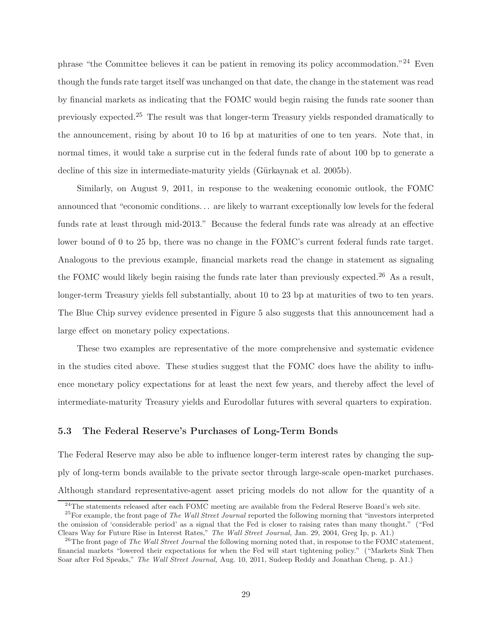phrase "the Committee believes it can be patient in removing its policy accommodation."<sup>24</sup> Even though the funds rate target itself was unchanged on that date, the change in the statement was read by financial markets as indicating that the FOMC would begin raising the funds rate sooner than previously expected.<sup>25</sup> The result was that longer-term Treasury yields responded dramatically to the announcement, rising by about 10 to 16 bp at maturities of one to ten years. Note that, in normal times, it would take a surprise cut in the federal funds rate of about 100 bp to generate a decline of this size in intermediate-maturity yields (Gürkaynak et al. 2005b).

Similarly, on August 9, 2011, in response to the weakening economic outlook, the FOMC announced that "economic conditions. . . are likely to warrant exceptionally low levels for the federal funds rate at least through mid-2013." Because the federal funds rate was already at an effective lower bound of 0 to 25 bp, there was no change in the FOMC's current federal funds rate target. Analogous to the previous example, financial markets read the change in statement as signaling the FOMC would likely begin raising the funds rate later than previously expected.<sup>26</sup> As a result, longer-term Treasury yields fell substantially, about 10 to 23 bp at maturities of two to ten years. The Blue Chip survey evidence presented in Figure 5 also suggests that this announcement had a large effect on monetary policy expectations.

These two examples are representative of the more comprehensive and systematic evidence in the studies cited above. These studies suggest that the FOMC does have the ability to influence monetary policy expectations for at least the next few years, and thereby affect the level of intermediate-maturity Treasury yields and Eurodollar futures with several quarters to expiration.

### **5.3 The Federal Reserve's Purchases of Long-Term Bonds**

The Federal Reserve may also be able to influence longer-term interest rates by changing the supply of long-term bonds available to the private sector through large-scale open-market purchases. Although standard representative-agent asset pricing models do not allow for the quantity of a

 $^{24}$ The statements released after each FOMC meeting are available from the Federal Reserve Board's web site.

<sup>25</sup>For example, the front page of *The Wall Street Journal* reported the following morning that "investors interpreted the omission of 'considerable period' as a signal that the Fed is closer to raising rates than many thought." ("Fed Clears Way for Future Rise in Interest Rates," The Wall Street Journal, Jan. 29, 2004, Greg Ip, p. A1.)<br><sup>26</sup>The front page of The Wall Street Journal the following morning noted that, in response to the FOMC statement,

financial markets "lowered their expectations for when the Fed will start tightening policy." ("Markets Sink Then Soar after Fed Speaks," *The Wall Street Journal,* Aug. 10, 2011, Sudeep Reddy and Jonathan Cheng, p. A1.)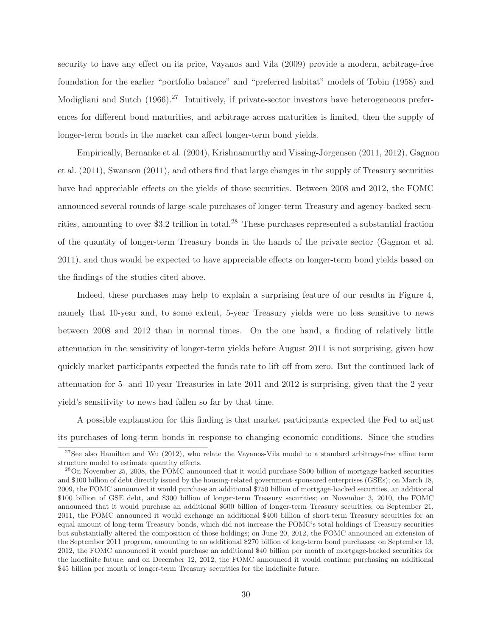security to have any effect on its price, Vayanos and Vila (2009) provide a modern, arbitrage-free foundation for the earlier "portfolio balance" and "preferred habitat" models of Tobin (1958) and Modigliani and Sutch (1966).<sup>27</sup> Intuitively, if private-sector investors have heterogeneous preferences for different bond maturities, and arbitrage across maturities is limited, then the supply of longer-term bonds in the market can affect longer-term bond yields.

Empirically, Bernanke et al. (2004), Krishnamurthy and Vissing-Jorgensen (2011, 2012), Gagnon et al. (2011), Swanson (2011), and others find that large changes in the supply of Treasury securities have had appreciable effects on the yields of those securities. Between 2008 and 2012, the FOMC announced several rounds of large-scale purchases of longer-term Treasury and agency-backed securities, amounting to over \$3.2 trillion in total.<sup>28</sup> These purchases represented a substantial fraction of the quantity of longer-term Treasury bonds in the hands of the private sector (Gagnon et al. 2011), and thus would be expected to have appreciable effects on longer-term bond yields based on the findings of the studies cited above.

Indeed, these purchases may help to explain a surprising feature of our results in Figure 4, namely that 10-year and, to some extent, 5-year Treasury yields were no less sensitive to news between 2008 and 2012 than in normal times. On the one hand, a finding of relatively little attenuation in the sensitivity of longer-term yields before August 2011 is not surprising, given how quickly market participants expected the funds rate to lift off from zero. But the continued lack of attenuation for 5- and 10-year Treasuries in late 2011 and 2012 is surprising, given that the 2-year yield's sensitivity to news had fallen so far by that time.

A possible explanation for this finding is that market participants expected the Fed to adjust its purchases of long-term bonds in response to changing economic conditions. Since the studies

 $^{27}$ See also Hamilton and Wu (2012), who relate the Vayanos-Vila model to a standard arbitrage-free affine term structure model to estimate quantity effects.

<sup>&</sup>lt;sup>28</sup>On November 25, 2008, the FOMC announced that it would purchase \$500 billion of mortgage-backed securities and \$100 billion of debt directly issued by the housing-related government-sponsored enterprises (GSEs); on March 18, 2009, the FOMC announced it would purchase an additional \$750 billion of mortgage-backed securities, an additional \$100 billion of GSE debt, and \$300 billion of longer-term Treasury securities; on November 3, 2010, the FOMC announced that it would purchase an additional \$600 billion of longer-term Treasury securities; on September 21, 2011, the FOMC announced it would exchange an additional \$400 billion of short-term Treasury securities for an equal amount of long-term Treasury bonds, which did not increase the FOMC's total holdings of Treasury securities but substantially altered the composition of those holdings; on June 20, 2012, the FOMC announced an extension of the September 2011 program, amounting to an additional \$270 billion of long-term bond purchases; on September 13, 2012, the FOMC announced it would purchase an additional \$40 billion per month of mortgage-backed securities for the indefinite future; and on December 12, 2012, the FOMC announced it would continue purchasing an additional \$45 billion per month of longer-term Treasury securities for the indefinite future.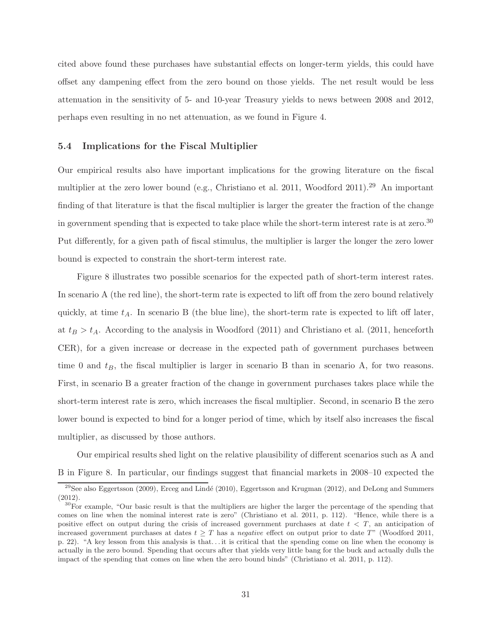cited above found these purchases have substantial effects on longer-term yields, this could have offset any dampening effect from the zero bound on those yields. The net result would be less attenuation in the sensitivity of 5- and 10-year Treasury yields to news between 2008 and 2012, perhaps even resulting in no net attenuation, as we found in Figure 4.

#### **5.4 Implications for the Fiscal Multiplier**

Our empirical results also have important implications for the growing literature on the fiscal multiplier at the zero lower bound (e.g., Christiano et al. 2011, Woodford 2011).<sup>29</sup> An important finding of that literature is that the fiscal multiplier is larger the greater the fraction of the change in government spending that is expected to take place while the short-term interest rate is at zero.<sup>30</sup> Put differently, for a given path of fiscal stimulus, the multiplier is larger the longer the zero lower bound is expected to constrain the short-term interest rate.

Figure 8 illustrates two possible scenarios for the expected path of short-term interest rates. In scenario A (the red line), the short-term rate is expected to lift off from the zero bound relatively quickly, at time  $t_A$ . In scenario B (the blue line), the short-term rate is expected to lift off later, at  $t_B > t_A$ . According to the analysis in Woodford (2011) and Christiano et al. (2011, henceforth CER), for a given increase or decrease in the expected path of government purchases between time 0 and  $t_B$ , the fiscal multiplier is larger in scenario B than in scenario A, for two reasons. First, in scenario B a greater fraction of the change in government purchases takes place while the short-term interest rate is zero, which increases the fiscal multiplier. Second, in scenario B the zero lower bound is expected to bind for a longer period of time, which by itself also increases the fiscal multiplier, as discussed by those authors.

Our empirical results shed light on the relative plausibility of different scenarios such as A and B in Figure 8. In particular, our findings suggest that financial markets in 2008–10 expected the

<sup>&</sup>lt;sup>29</sup>See also Eggertsson (2009), Erceg and Lindé (2010), Eggertsson and Krugman (2012), and DeLong and Summers (2012).

<sup>&</sup>lt;sup>30</sup>For example, "Our basic result is that the multipliers are higher the larger the percentage of the spending that comes on line when the nominal interest rate is zero" (Christiano et al. 2011, p. 112). "Hence, while there is a positive effect on output during the crisis of increased government purchases at date  $t < T$ , an anticipation of increased government purchases at dates  $t > T$  has a *negative* effect on output prior to date  $T$  " (Woodford 2011, p. 22). "A key lesson from this analysis is that. . . it is critical that the spending come on line when the economy is actually in the zero bound. Spending that occurs after that yields very little bang for the buck and actually dulls the impact of the spending that comes on line when the zero bound binds" (Christiano et al. 2011, p. 112).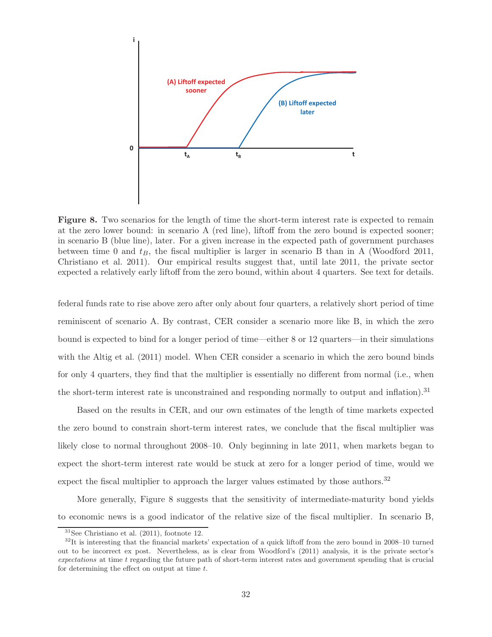

**Figure 8.** Two scenarios for the length of time the short-term interest rate is expected to remain at the zero lower bound: in scenario A (red line), liftoff from the zero bound is expected sooner; in scenario B (blue line), later. For a given increase in the expected path of government purchases between time 0 and  $t_B$ , the fiscal multiplier is larger in scenario B than in A (Woodford 2011, Christiano et al. 2011). Our empirical results suggest that, until late 2011, the private sector expected a relatively early liftoff from the zero bound, within about 4 quarters. See text for details.

federal funds rate to rise above zero after only about four quarters, a relatively short period of time reminiscent of scenario A. By contrast, CER consider a scenario more like B, in which the zero bound is expected to bind for a longer period of time—either 8 or 12 quarters—in their simulations with the Altig et al. (2011) model. When CER consider a scenario in which the zero bound binds for only 4 quarters, they find that the multiplier is essentially no different from normal (i.e., when the short-term interest rate is unconstrained and responding normally to output and inflation).<sup>31</sup>

Based on the results in CER, and our own estimates of the length of time markets expected the zero bound to constrain short-term interest rates, we conclude that the fiscal multiplier was likely close to normal throughout 2008–10. Only beginning in late 2011, when markets began to expect the short-term interest rate would be stuck at zero for a longer period of time, would we expect the fiscal multiplier to approach the larger values estimated by those authors.<sup>32</sup>

More generally, Figure 8 suggests that the sensitivity of intermediate-maturity bond yields to economic news is a good indicator of the relative size of the fiscal multiplier. In scenario B,

 $31$ See Christiano et al. (2011), footnote 12.

 $32$ It is interesting that the financial markets' expectation of a quick liftoff from the zero bound in 2008–10 turned out to be incorrect ex post. Nevertheless, as is clear from Woodford's (2011) analysis, it is the private sector's *expectations* at time *<sup>t</sup>* regarding the future path of short-term interest rates and government spending that is crucial for determining the effect on output at time *t*.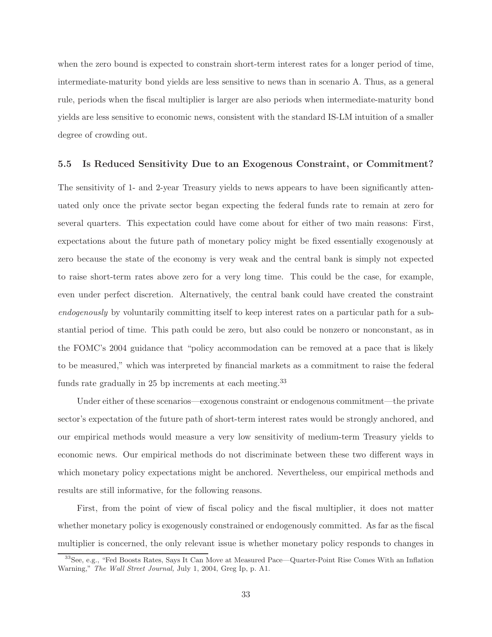when the zero bound is expected to constrain short-term interest rates for a longer period of time, intermediate-maturity bond yields are less sensitive to news than in scenario A. Thus, as a general rule, periods when the fiscal multiplier is larger are also periods when intermediate-maturity bond yields are less sensitive to economic news, consistent with the standard IS-LM intuition of a smaller degree of crowding out.

#### **5.5 Is Reduced Sensitivity Due to an Exogenous Constraint, or Commitment?**

The sensitivity of 1- and 2-year Treasury yields to news appears to have been significantly attenuated only once the private sector began expecting the federal funds rate to remain at zero for several quarters. This expectation could have come about for either of two main reasons: First, expectations about the future path of monetary policy might be fixed essentially exogenously at zero because the state of the economy is very weak and the central bank is simply not expected to raise short-term rates above zero for a very long time. This could be the case, for example, even under perfect discretion. Alternatively, the central bank could have created the constraint *endogenously* by voluntarily committing itself to keep interest rates on a particular path for a substantial period of time. This path could be zero, but also could be nonzero or nonconstant, as in the FOMC's 2004 guidance that "policy accommodation can be removed at a pace that is likely to be measured," which was interpreted by financial markets as a commitment to raise the federal funds rate gradually in 25 bp increments at each meeting.<sup>33</sup>

Under either of these scenarios—exogenous constraint or endogenous commitment—the private sector's expectation of the future path of short-term interest rates would be strongly anchored, and our empirical methods would measure a very low sensitivity of medium-term Treasury yields to economic news. Our empirical methods do not discriminate between these two different ways in which monetary policy expectations might be anchored. Nevertheless, our empirical methods and results are still informative, for the following reasons.

First, from the point of view of fiscal policy and the fiscal multiplier, it does not matter whether monetary policy is exogenously constrained or endogenously committed. As far as the fiscal multiplier is concerned, the only relevant issue is whether monetary policy responds to changes in

<sup>33</sup>See, e.g., "Fed Boosts Rates, Says It Can Move at Measured Pace—Quarter-Point Rise Comes With an Inflation Warning," *The Wall Street Journal,* July 1, 2004, Greg Ip, p. A1.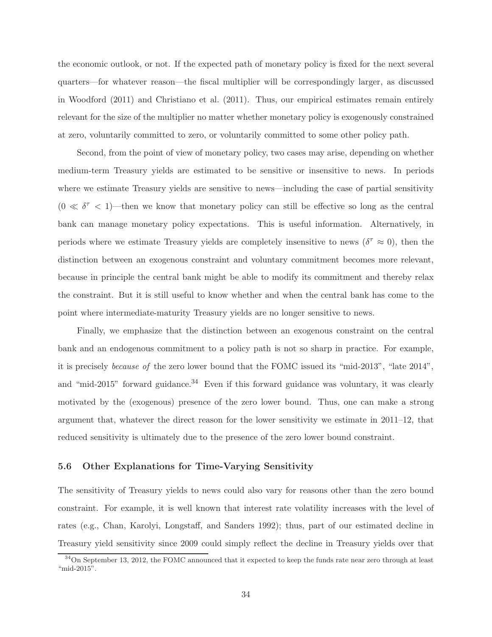the economic outlook, or not. If the expected path of monetary policy is fixed for the next several quarters—for whatever reason—the fiscal multiplier will be correspondingly larger, as discussed in Woodford (2011) and Christiano et al. (2011). Thus, our empirical estimates remain entirely relevant for the size of the multiplier no matter whether monetary policy is exogenously constrained at zero, voluntarily committed to zero, or voluntarily committed to some other policy path.

Second, from the point of view of monetary policy, two cases may arise, depending on whether medium-term Treasury yields are estimated to be sensitive or insensitive to news. In periods where we estimate Treasury yields are sensitive to news—including the case of partial sensitivity  $(0 \ll \delta^{\tau} < 1)$ —then we know that monetary policy can still be effective so long as the central bank can manage monetary policy expectations. This is useful information. Alternatively, in periods where we estimate Treasury yields are completely insensitive to news ( $\delta^{\tau} \approx 0$ ), then the distinction between an exogenous constraint and voluntary commitment becomes more relevant, because in principle the central bank might be able to modify its commitment and thereby relax the constraint. But it is still useful to know whether and when the central bank has come to the point where intermediate-maturity Treasury yields are no longer sensitive to news.

Finally, we emphasize that the distinction between an exogenous constraint on the central bank and an endogenous commitment to a policy path is not so sharp in practice. For example, it is precisely *because of* the zero lower bound that the FOMC issued its "mid-2013", "late 2014", and "mid-2015" forward guidance.<sup>34</sup> Even if this forward guidance was voluntary, it was clearly motivated by the (exogenous) presence of the zero lower bound. Thus, one can make a strong argument that, whatever the direct reason for the lower sensitivity we estimate in 2011–12, that reduced sensitivity is ultimately due to the presence of the zero lower bound constraint.

#### **5.6 Other Explanations for Time-Varying Sensitivity**

The sensitivity of Treasury yields to news could also vary for reasons other than the zero bound constraint. For example, it is well known that interest rate volatility increases with the level of rates (e.g., Chan, Karolyi, Longstaff, and Sanders 1992); thus, part of our estimated decline in Treasury yield sensitivity since 2009 could simply reflect the decline in Treasury yields over that

<sup>&</sup>lt;sup>34</sup>On September 13, 2012, the FOMC announced that it expected to keep the funds rate near zero through at least "mid-2015".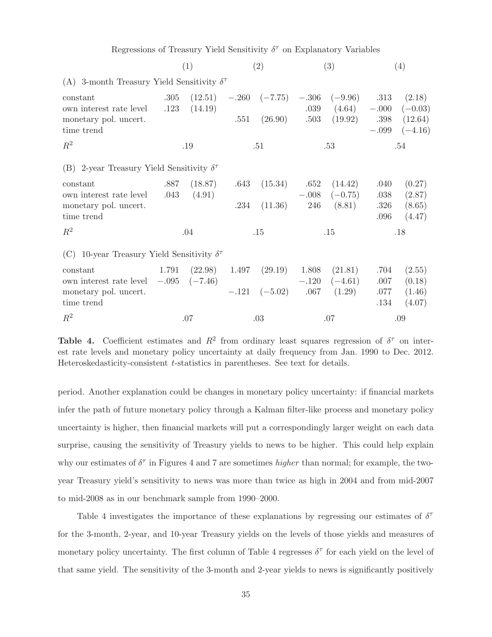Regressions of Treasury Yield Sensitivity  $\delta^{\tau}$  on Explanatory Variables

|                                                                                                          | (2)<br>(3)<br>(1) |     |     | (4) |                                                                                                           |              |                           |
|----------------------------------------------------------------------------------------------------------|-------------------|-----|-----|-----|-----------------------------------------------------------------------------------------------------------|--------------|---------------------------|
| (A) 3-month Treasury Yield Sensitivity $\delta^{\tau}$                                                   |                   |     |     |     |                                                                                                           |              |                           |
| constant<br>own interest rate level $.123$ $(14.19)$                                                     |                   |     |     |     | $.305$ $(12.51)$ $-.260$ $(-7.75)$ $-.306$ $(-9.96)$ $.313$ $(2.18)$<br>$.039$ $(4.64)$ $-.000$ $(-0.03)$ |              |                           |
| monetary pol. uncert.<br>time trend                                                                      |                   |     |     |     | $.551$ $(26.90)$ $.503$ $(19.92)$ $.398$ $(12.64)$                                                        |              | $-.099$ $(-4.16)$         |
| $R^2$                                                                                                    |                   | .19 | .51 |     | .53                                                                                                       |              | .54                       |
| (B) 2-year Treasury Yield Sensitivity $\delta^{\tau}$                                                    |                   |     |     |     |                                                                                                           |              |                           |
| constant<br>own interest rate level .043 (4.91)                                                          |                   |     |     |     | $.887$ $(18.87)$ $.643$ $(15.34)$ $.652$ $(14.42)$<br>$-.008$ $(-0.75)$                                   | .040<br>.038 | (0.27)<br>(2.87)          |
| monetary pol. uncert.<br>time trend                                                                      |                   |     |     |     | $.234$ $(11.36)$ $246$ $(8.81)$                                                                           | .096         | $.326$ $(8.65)$<br>(4.47) |
| $R^2$                                                                                                    |                   | .04 | .15 |     | .15                                                                                                       |              | .18                       |
| (C) 10-year Treasury Yield Sensitivity $\delta^{\tau}$                                                   |                   |     |     |     |                                                                                                           |              |                           |
| 1.791 $(22.98)$ 1.497 $(29.19)$ 1.808 $(21.81)$<br>constant<br>own interest rate level $-.095$ $(-7.46)$ |                   |     |     |     | $-.120 \quad (-4.61)$                                                                                     | .704<br>.007 | (2.55)<br>(0.18)          |
| monetary pol. uncert.<br>time trend                                                                      |                   |     |     |     | $-.121 \quad (-5.02) \quad .067 \quad (1.29)$                                                             | .077<br>.134 | (1.46)<br>(4.07)          |
| $R^2$                                                                                                    |                   | .07 | .03 |     | .07                                                                                                       |              | .09                       |

**Table 4.** Coefficient estimates and  $R^2$  from ordinary least squares regression of  $\delta^{\tau}$  on interest rate levels and monetary policy uncertainty at daily frequency from Jan. 1990 to Dec. 2012. Heteroskedasticity-consistent t-statistics in parentheses. See text for details.

period. Another explanation could be changes in monetary policy uncertainty: if financial markets infer the path of future monetary policy through a Kalman filter-like process and monetary policy uncertainty is higher, then financial markets will put a correspondingly larger weight on each data surprise, causing the sensitivity of Treasury yields to news to be higher. This could help explain why our estimates of  $\delta^{\tau}$  in Figures 4 and 7 are sometimes *higher* than normal; for example, the twoyear Treasury yield's sensitivity to news was more than twice as high in 2004 and from mid-2007 to mid-2008 as in our benchmark sample from 1990–2000.

Table 4 investigates the importance of these explanations by regressing our estimates of  $\delta^{\tau}$ for the 3-month, 2-year, and 10-year Treasury yields on the levels of those yields and measures of monetary policy uncertainty. The first column of Table 4 regresses  $\delta^{\tau}$  for each yield on the level of that same yield. The sensitivity of the 3-month and 2-year yields to news is significantly positively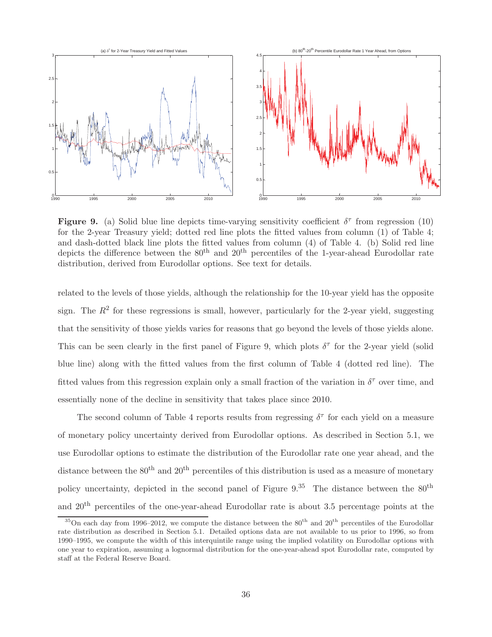

**Figure 9.** (a) Solid blue line depicts time-varying sensitivity coefficient  $\delta^{\tau}$  from regression (10) for the 2-year Treasury yield; dotted red line plots the fitted values from column (1) of Table 4; and dash-dotted black line plots the fitted values from column (4) of Table 4. (b) Solid red line depicts the difference between the 80<sup>th</sup> and 20<sup>th</sup> percentiles of the 1-year-ahead Eurodollar rate distribution, derived from Eurodollar options. See text for details.

related to the levels of those yields, although the relationship for the 10-year yield has the opposite sign. The  $R^2$  for these regressions is small, however, particularly for the 2-year yield, suggesting that the sensitivity of those yields varies for reasons that go beyond the levels of those yields alone. This can be seen clearly in the first panel of Figure 9, which plots  $\delta^{\tau}$  for the 2-year yield (solid blue line) along with the fitted values from the first column of Table 4 (dotted red line). The fitted values from this regression explain only a small fraction of the variation in  $\delta^{\tau}$  over time, and essentially none of the decline in sensitivity that takes place since 2010.

The second column of Table 4 reports results from regressing  $\delta^{\tau}$  for each yield on a measure of monetary policy uncertainty derived from Eurodollar options. As described in Section 5.1, we use Eurodollar options to estimate the distribution of the Eurodollar rate one year ahead, and the distance between the  $80<sup>th</sup>$  and  $20<sup>th</sup>$  percentiles of this distribution is used as a measure of monetary policy uncertainty, depicted in the second panel of Figure  $9^{35}$ . The distance between the  $80^{th}$ and 20th percentiles of the one-year-ahead Eurodollar rate is about 3.5 percentage points at the

 $35$ On each day from 1996–2012, we compute the distance between the  $80<sup>th</sup>$  and  $20<sup>th</sup>$  percentiles of the Eurodollar rate distribution as described in Section 5.1. Detailed options data are not available to us prior to 1996, so from 1990–1995, we compute the width of this interquintile range using the implied volatility on Eurodollar options with one year to expiration, assuming a lognormal distribution for the one-year-ahead spot Eurodollar rate, computed by staff at the Federal Reserve Board.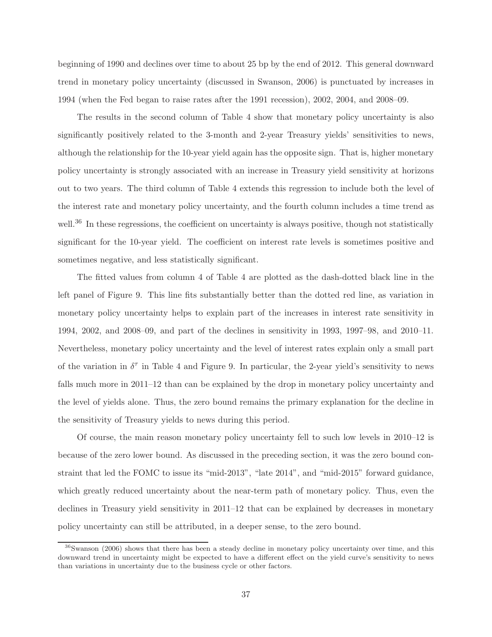beginning of 1990 and declines over time to about 25 bp by the end of 2012. This general downward trend in monetary policy uncertainty (discussed in Swanson, 2006) is punctuated by increases in 1994 (when the Fed began to raise rates after the 1991 recession), 2002, 2004, and 2008–09.

The results in the second column of Table 4 show that monetary policy uncertainty is also significantly positively related to the 3-month and 2-year Treasury yields' sensitivities to news, although the relationship for the 10-year yield again has the opposite sign. That is, higher monetary policy uncertainty is strongly associated with an increase in Treasury yield sensitivity at horizons out to two years. The third column of Table 4 extends this regression to include both the level of the interest rate and monetary policy uncertainty, and the fourth column includes a time trend as well.<sup>36</sup> In these regressions, the coefficient on uncertainty is always positive, though not statistically significant for the 10-year yield. The coefficient on interest rate levels is sometimes positive and sometimes negative, and less statistically significant.

The fitted values from column 4 of Table 4 are plotted as the dash-dotted black line in the left panel of Figure 9. This line fits substantially better than the dotted red line, as variation in monetary policy uncertainty helps to explain part of the increases in interest rate sensitivity in 1994, 2002, and 2008–09, and part of the declines in sensitivity in 1993, 1997–98, and 2010–11. Nevertheless, monetary policy uncertainty and the level of interest rates explain only a small part of the variation in  $\delta^{\tau}$  in Table 4 and Figure 9. In particular, the 2-year yield's sensitivity to news falls much more in 2011–12 than can be explained by the drop in monetary policy uncertainty and the level of yields alone. Thus, the zero bound remains the primary explanation for the decline in the sensitivity of Treasury yields to news during this period.

Of course, the main reason monetary policy uncertainty fell to such low levels in 2010–12 is because of the zero lower bound. As discussed in the preceding section, it was the zero bound constraint that led the FOMC to issue its "mid-2013", "late 2014", and "mid-2015" forward guidance, which greatly reduced uncertainty about the near-term path of monetary policy. Thus, even the declines in Treasury yield sensitivity in 2011–12 that can be explained by decreases in monetary policy uncertainty can still be attributed, in a deeper sense, to the zero bound.

<sup>36</sup>Swanson (2006) shows that there has been a steady decline in monetary policy uncertainty over time, and this downward trend in uncertainty might be expected to have a different effect on the yield curve's sensitivity to news than variations in uncertainty due to the business cycle or other factors.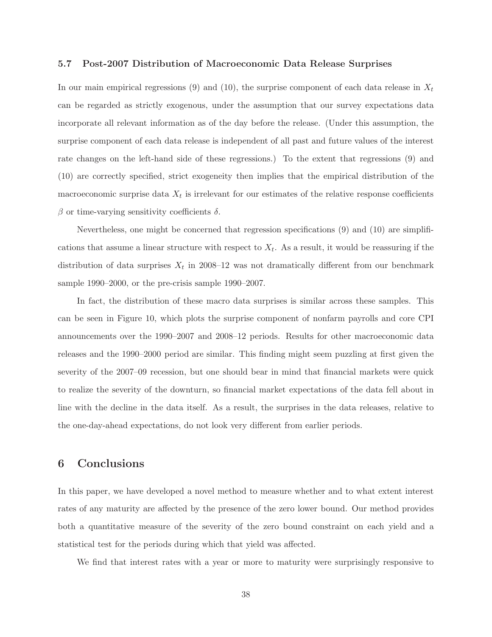#### **5.7 Post-2007 Distribution of Macroeconomic Data Release Surprises**

In our main empirical regressions (9) and (10), the surprise component of each data release in  $X_t$ can be regarded as strictly exogenous, under the assumption that our survey expectations data incorporate all relevant information as of the day before the release. (Under this assumption, the surprise component of each data release is independent of all past and future values of the interest rate changes on the left-hand side of these regressions.) To the extent that regressions (9) and (10) are correctly specified, strict exogeneity then implies that the empirical distribution of the macroeconomic surprise data  $X_t$  is irrelevant for our estimates of the relative response coefficients  $β$  or time-varying sensitivity coefficients  $δ$ .

Nevertheless, one might be concerned that regression specifications (9) and (10) are simplifications that assume a linear structure with respect to  $X_t$ . As a result, it would be reassuring if the distribution of data surprises  $X_t$  in 2008–12 was not dramatically different from our benchmark sample 1990–2000, or the pre-crisis sample 1990–2007.

In fact, the distribution of these macro data surprises is similar across these samples. This can be seen in Figure 10, which plots the surprise component of nonfarm payrolls and core CPI announcements over the 1990–2007 and 2008–12 periods. Results for other macroeconomic data releases and the 1990–2000 period are similar. This finding might seem puzzling at first given the severity of the 2007–09 recession, but one should bear in mind that financial markets were quick to realize the severity of the downturn, so financial market expectations of the data fell about in line with the decline in the data itself. As a result, the surprises in the data releases, relative to the one-day-ahead expectations, do not look very different from earlier periods.

## **6 Conclusions**

In this paper, we have developed a novel method to measure whether and to what extent interest rates of any maturity are affected by the presence of the zero lower bound. Our method provides both a quantitative measure of the severity of the zero bound constraint on each yield and a statistical test for the periods during which that yield was affected.

We find that interest rates with a year or more to maturity were surprisingly responsive to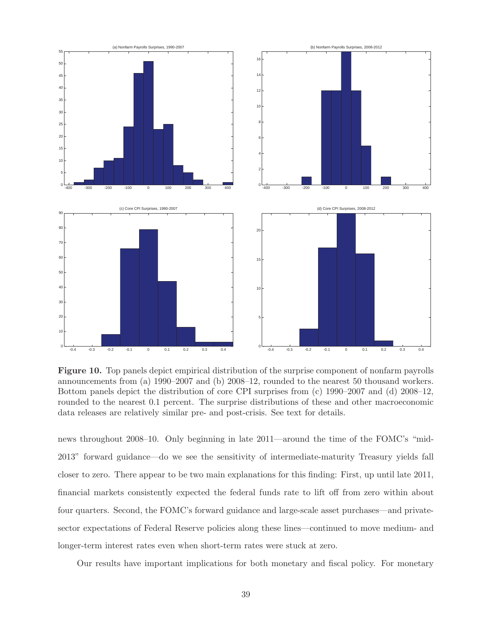

**Figure 10.** Top panels depict empirical distribution of the surprise component of nonfarm payrolls announcements from (a) 1990–2007 and (b) 2008–12, rounded to the nearest 50 thousand workers. Bottom panels depict the distribution of core CPI surprises from (c) 1990–2007 and (d) 2008–12, rounded to the nearest 0.1 percent. The surprise distributions of these and other macroeconomic data releases are relatively similar pre- and post-crisis. See text for details.

news throughout 2008–10. Only beginning in late 2011—around the time of the FOMC's "mid-2013" forward guidance—do we see the sensitivity of intermediate-maturity Treasury yields fall closer to zero. There appear to be two main explanations for this finding: First, up until late 2011, financial markets consistently expected the federal funds rate to lift off from zero within about four quarters. Second, the FOMC's forward guidance and large-scale asset purchases—and privatesector expectations of Federal Reserve policies along these lines—continued to move medium- and longer-term interest rates even when short-term rates were stuck at zero.

Our results have important implications for both monetary and fiscal policy. For monetary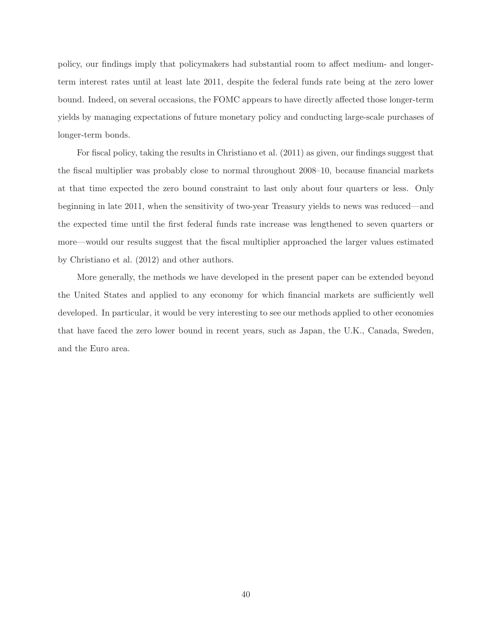policy, our findings imply that policymakers had substantial room to affect medium- and longerterm interest rates until at least late 2011, despite the federal funds rate being at the zero lower bound. Indeed, on several occasions, the FOMC appears to have directly affected those longer-term yields by managing expectations of future monetary policy and conducting large-scale purchases of longer-term bonds.

For fiscal policy, taking the results in Christiano et al. (2011) as given, our findings suggest that the fiscal multiplier was probably close to normal throughout 2008–10, because financial markets at that time expected the zero bound constraint to last only about four quarters or less. Only beginning in late 2011, when the sensitivity of two-year Treasury yields to news was reduced—and the expected time until the first federal funds rate increase was lengthened to seven quarters or more—would our results suggest that the fiscal multiplier approached the larger values estimated by Christiano et al. (2012) and other authors.

More generally, the methods we have developed in the present paper can be extended beyond the United States and applied to any economy for which financial markets are sufficiently well developed. In particular, it would be very interesting to see our methods applied to other economies that have faced the zero lower bound in recent years, such as Japan, the U.K., Canada, Sweden, and the Euro area.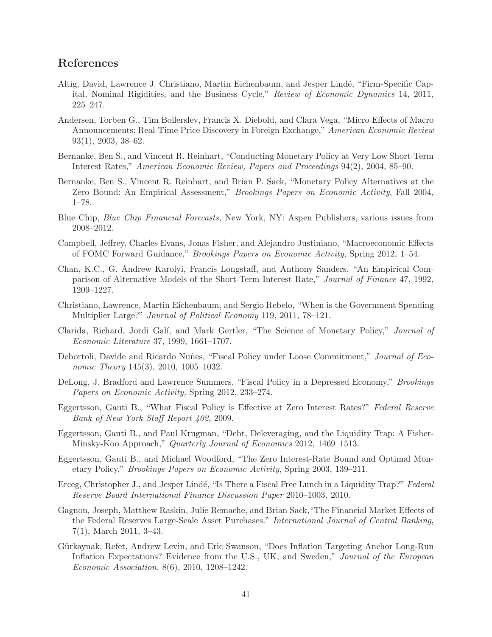# **References**

- Altig, David, Lawrence J. Christiano, Martin Eichenbaum, and Jesper Lindé, "Firm-Specific Capital, Nominal Rigidities, and the Business Cycle," *Review of Economic Dynamics* 14, 2011, 225–247.
- Andersen, Torben G., Tim Bollerslev, Francis X. Diebold, and Clara Vega, "Micro Effects of Macro Announcements: Real-Time Price Discovery in Foreign Exchange," *American Economic Review* 93(1), 2003, 38–62.
- Bernanke, Ben S., and Vincent R. Reinhart, "Conducting Monetary Policy at Very Low Short-Term Interest Rates," *American Economic Review, Papers and Proceedings* 94(2), 2004, 85–90.
- Bernanke, Ben S., Vincent R. Reinhart, and Brian P. Sack, "Monetary Policy Alternatives at the Zero Bound: An Empirical Assessment," *Brookings Papers on Economic Activity*, Fall 2004, 1–78.
- Blue Chip, *Blue Chip Financial Forecasts,* New York, NY: Aspen Publishers, various issues from 2008–2012.
- Campbell, Jeffrey, Charles Evans, Jonas Fisher, and Alejandro Justiniano, "Macroeconomic Effects of FOMC Forward Guidance," *Brookings Papers on Economic Activity,* Spring 2012, 1–54.
- Chan, K.C., G. Andrew Karolyi, Francis Longstaff, and Anthony Sanders, "An Empirical Comparison of Alternative Models of the Short-Term Interest Rate," *Journal of Finance* 47, 1992, 1209–1227.
- Christiano, Lawrence, Martin Eichenbaum, and Sergio Rebelo, "When is the Government Spending Multiplier Large?" *Journal of Political Economy* 119, 2011, 78–121.
- Clarida, Richard, Jordi Gal´ı, and Mark Gertler, "The Science of Monetary Policy," *Journal of Economic Literature* 37, 1999, 1661–1707.
- Debortoli, Davide and Ricardo Nuñes, "Fiscal Policy under Loose Commitment," *Journal of Economic Theory* 145(3), 2010, 1005–1032.
- DeLong, J. Bradford and Lawrence Summers, "Fiscal Policy in a Depressed Economy," *Brookings Papers on Economic Activity,* Spring 2012, 233–274.
- Eggertsson, Gauti B., "What Fiscal Policy is Effective at Zero Interest Rates?" *Federal Reserve Bank of New York Staff Report 402,* 2009.
- Eggertsson, Gauti B., and Paul Krugman, "Debt, Deleveraging, and the Liquidity Trap: A Fisher-Minsky-Koo Approach," *Quarterly Journal of Economics* 2012, 1469–1513.
- Eggertsson, Gauti B., and Michael Woodford, "The Zero Interest-Rate Bound and Optimal Monetary Policy," *Brookings Papers on Economic Activity*, Spring 2003, 139–211.
- Erceg, Christopher J., and Jesper Lind´e, "Is There a Fiscal Free Lunch in a Liquidity Trap?" *Federal Reserve Board International Finance Discussion Paper* 2010–1003, 2010.
- Gagnon, Joseph, Matthew Raskin, Julie Remache, and Brian Sack,"The Financial Market Effects of the Federal Reserves Large-Scale Asset Purchases." *International Journal of Central Banking*, 7(1), March 2011, 3–43.
- Gürkaynak, Refet, Andrew Levin, and Eric Swanson, "Does Inflation Targeting Anchor Long-Run Inflation Expectations? Evidence from the U.S., UK, and Sweden," *Journal of the European Economic Association,* 8(6), 2010, 1208–1242.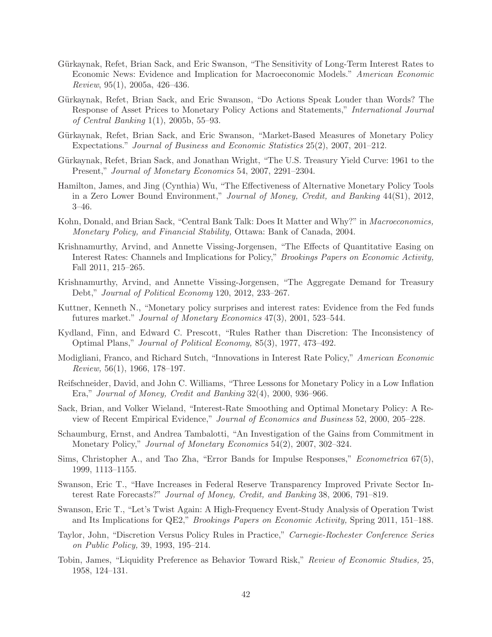- Gürkaynak, Refet, Brian Sack, and Eric Swanson, "The Sensitivity of Long-Term Interest Rates to Economic News: Evidence and Implication for Macroeconomic Models." *American Economic Review*, 95(1), 2005a, 426–436.
- Gürkaynak, Refet, Brian Sack, and Eric Swanson, "Do Actions Speak Louder than Words? The Response of Asset Prices to Monetary Policy Actions and Statements," *International Journal of Central Banking* 1(1), 2005b, 55–93.
- Gürkaynak, Refet, Brian Sack, and Eric Swanson, "Market-Based Measures of Monetary Policy Expectations." *Journal of Business and Economic Statistics* 25(2), 2007, 201–212.
- Gürkaynak, Refet, Brian Sack, and Jonathan Wright, "The U.S. Treasury Yield Curve: 1961 to the Present," *Journal of Monetary Economics* 54, 2007, 2291–2304.
- Hamilton, James, and Jing (Cynthia) Wu, "The Effectiveness of Alternative Monetary Policy Tools in a Zero Lower Bound Environment," *Journal of Money, Credit, and Banking* 44(S1), 2012, 3–46.
- Kohn, Donald, and Brian Sack, "Central Bank Talk: Does It Matter and Why?" in *Macroeconomics, Monetary Policy, and Financial Stability,* Ottawa: Bank of Canada, 2004.
- Krishnamurthy, Arvind, and Annette Vissing-Jorgensen, "The Effects of Quantitative Easing on Interest Rates: Channels and Implications for Policy," *Brookings Papers on Economic Activity,* Fall 2011, 215–265.
- Krishnamurthy, Arvind, and Annette Vissing-Jorgensen, "The Aggregate Demand for Treasury Debt," *Journal of Political Economy* 120, 2012, 233–267.
- Kuttner, Kenneth N., "Monetary policy surprises and interest rates: Evidence from the Fed funds futures market." *Journal of Monetary Economics* 47(3), 2001, 523–544.
- Kydland, Finn, and Edward C. Prescott, "Rules Rather than Discretion: The Inconsistency of Optimal Plans," *Journal of Political Economy,* 85(3), 1977, 473–492.
- Modigliani, Franco, and Richard Sutch, "Innovations in Interest Rate Policy," *American Economic Review,* 56(1), 1966, 178–197.
- Reifschneider, David, and John C. Williams, "Three Lessons for Monetary Policy in a Low Inflation Era," *Journal of Money, Credit and Banking* 32(4), 2000, 936–966.
- Sack, Brian, and Volker Wieland, "Interest-Rate Smoothing and Optimal Monetary Policy: A Review of Recent Empirical Evidence," *Journal of Economics and Business* 52, 2000, 205–228.
- Schaumburg, Ernst, and Andrea Tambalotti, "An Investigation of the Gains from Commitment in Monetary Policy," *Journal of Monetary Economics* 54(2), 2007, 302–324.
- Sims, Christopher A., and Tao Zha, "Error Bands for Impulse Responses," *Econometrica* 67(5), 1999, 1113–1155.
- Swanson, Eric T., "Have Increases in Federal Reserve Transparency Improved Private Sector Interest Rate Forecasts?" *Journal of Money, Credit, and Banking* 38, 2006, 791–819.
- Swanson, Eric T., "Let's Twist Again: A High-Frequency Event-Study Analysis of Operation Twist and Its Implications for QE2," *Brookings Papers on Economic Activity,* Spring 2011, 151–188.
- Taylor, John, "Discretion Versus Policy Rules in Practice," *Carnegie-Rochester Conference Series on Public Policy,* 39, 1993, 195–214.
- Tobin, James, "Liquidity Preference as Behavior Toward Risk," *Review of Economic Studies,* 25, 1958, 124–131.